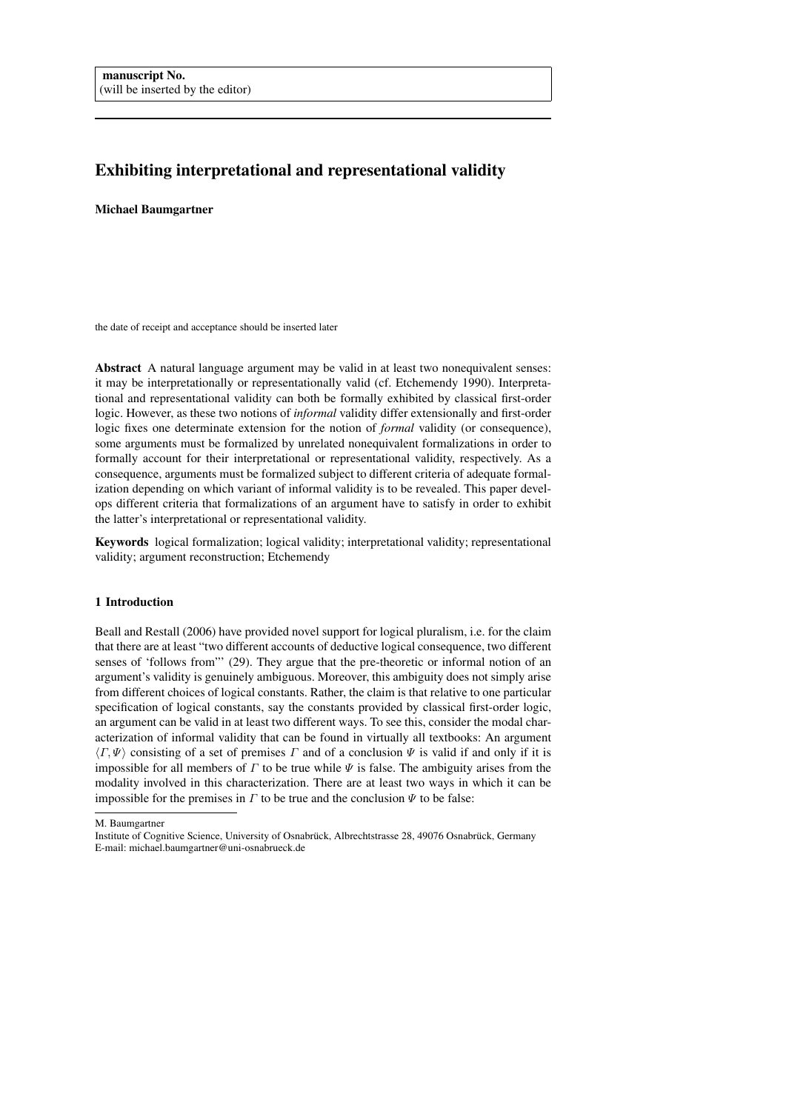# Exhibiting interpretational and representational validity

## Michael Baumgartner

the date of receipt and acceptance should be inserted later

Abstract A natural language argument may be valid in at least two nonequivalent senses: it may be interpretationally or representationally valid (cf. Etchemendy 1990). Interpretational and representational validity can both be formally exhibited by classical first-order logic. However, as these two notions of *informal* validity differ extensionally and first-order logic fixes one determinate extension for the notion of *formal* validity (or consequence), some arguments must be formalized by unrelated nonequivalent formalizations in order to formally account for their interpretational or representational validity, respectively. As a consequence, arguments must be formalized subject to different criteria of adequate formalization depending on which variant of informal validity is to be revealed. This paper develops different criteria that formalizations of an argument have to satisfy in order to exhibit the latter's interpretational or representational validity.

Keywords logical formalization; logical validity; interpretational validity; representational validity; argument reconstruction; Etchemendy

# 1 Introduction

Beall and Restall (2006) have provided novel support for logical pluralism, i.e. for the claim that there are at least "two different accounts of deductive logical consequence, two different senses of 'follows from"' (29). They argue that the pre-theoretic or informal notion of an argument's validity is genuinely ambiguous. Moreover, this ambiguity does not simply arise from different choices of logical constants. Rather, the claim is that relative to one particular specification of logical constants, say the constants provided by classical first-order logic, an argument can be valid in at least two different ways. To see this, consider the modal characterization of informal validity that can be found in virtually all textbooks: An argument  $\langle \Gamma, \Psi \rangle$  consisting of a set of premises Γ and of a conclusion  $\Psi$  is valid if and only if it is impossible for all members of  $\Gamma$  to be true while  $\Psi$  is false. The ambiguity arises from the modality involved in this characterization. There are at least two ways in which it can be impossible for the premises in  $\Gamma$  to be true and the conclusion  $\Psi$  to be false:

M. Baumgartner

Institute of Cognitive Science, University of Osnabrück, Albrechtstrasse 28, 49076 Osnabrück, Germany E-mail: michael.baumgartner@uni-osnabrueck.de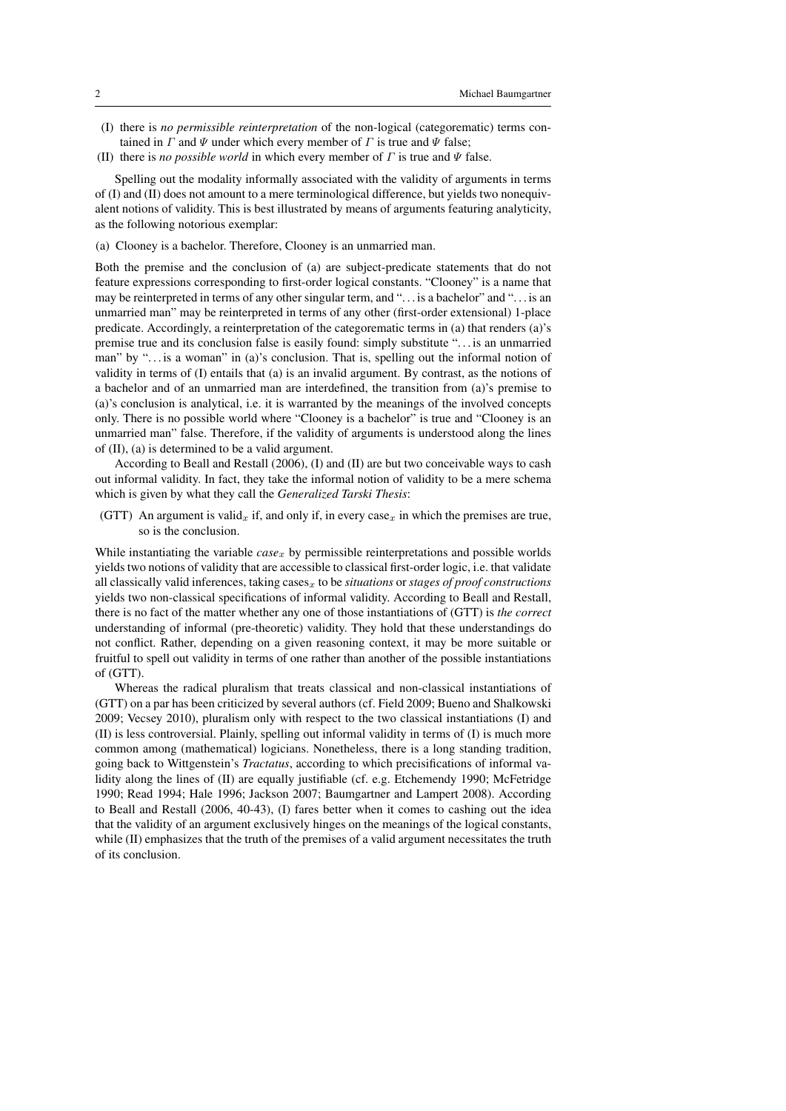- (I) there is *no permissible reinterpretation* of the non-logical (categorematic) terms contained in  $\Gamma$  and  $\Psi$  under which every member of  $\Gamma$  is true and  $\Psi$  false;
- (II) there is *no possible world* in which every member of  $\Gamma$  is true and  $\Psi$  false.

Spelling out the modality informally associated with the validity of arguments in terms of (I) and (II) does not amount to a mere terminological difference, but yields two nonequivalent notions of validity. This is best illustrated by means of arguments featuring analyticity, as the following notorious exemplar:

(a) Clooney is a bachelor. Therefore, Clooney is an unmarried man.

Both the premise and the conclusion of (a) are subject-predicate statements that do not feature expressions corresponding to first-order logical constants. "Clooney" is a name that may be reinterpreted in terms of any other singular term, and ". . . is a bachelor" and ". . . is an unmarried man" may be reinterpreted in terms of any other (first-order extensional) 1-place predicate. Accordingly, a reinterpretation of the categorematic terms in (a) that renders (a)'s premise true and its conclusion false is easily found: simply substitute ". . . is an unmarried man" by "... is a woman" in (a)'s conclusion. That is, spelling out the informal notion of validity in terms of (I) entails that (a) is an invalid argument. By contrast, as the notions of a bachelor and of an unmarried man are interdefined, the transition from (a)'s premise to (a)'s conclusion is analytical, i.e. it is warranted by the meanings of the involved concepts only. There is no possible world where "Clooney is a bachelor" is true and "Clooney is an unmarried man" false. Therefore, if the validity of arguments is understood along the lines of (II), (a) is determined to be a valid argument.

According to Beall and Restall (2006), (I) and (II) are but two conceivable ways to cash out informal validity. In fact, they take the informal notion of validity to be a mere schema which is given by what they call the *Generalized Tarski Thesis*:

(GTT) An argument is valid<sub>x</sub> if, and only if, in every case<sub>x</sub> in which the premises are true, so is the conclusion.

While instantiating the variable *case<sub>x</sub>* by permissible reinterpretations and possible worlds yields two notions of validity that are accessible to classical first-order logic, i.e. that validate all classically valid inferences, taking cases<sub>x</sub> to be *situations* or *stages of proof constructions* yields two non-classical specifications of informal validity. According to Beall and Restall, there is no fact of the matter whether any one of those instantiations of (GTT) is *the correct* understanding of informal (pre-theoretic) validity. They hold that these understandings do not conflict. Rather, depending on a given reasoning context, it may be more suitable or fruitful to spell out validity in terms of one rather than another of the possible instantiations of (GTT).

Whereas the radical pluralism that treats classical and non-classical instantiations of (GTT) on a par has been criticized by several authors (cf. Field 2009; Bueno and Shalkowski 2009; Vecsey 2010), pluralism only with respect to the two classical instantiations (I) and (II) is less controversial. Plainly, spelling out informal validity in terms of (I) is much more common among (mathematical) logicians. Nonetheless, there is a long standing tradition, going back to Wittgenstein's *Tractatus*, according to which precisifications of informal validity along the lines of (II) are equally justifiable (cf. e.g. Etchemendy 1990; McFetridge 1990; Read 1994; Hale 1996; Jackson 2007; Baumgartner and Lampert 2008). According to Beall and Restall (2006, 40-43), (I) fares better when it comes to cashing out the idea that the validity of an argument exclusively hinges on the meanings of the logical constants, while (II) emphasizes that the truth of the premises of a valid argument necessitates the truth of its conclusion.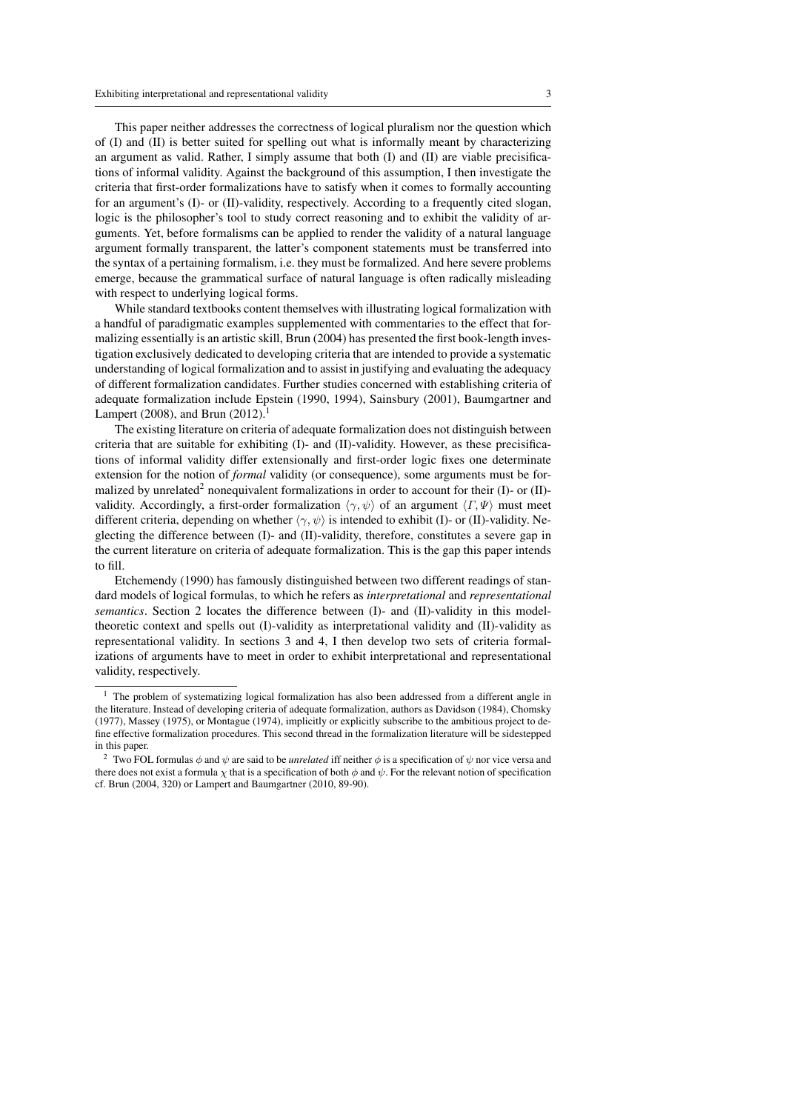This paper neither addresses the correctness of logical pluralism nor the question which of (I) and (II) is better suited for spelling out what is informally meant by characterizing an argument as valid. Rather, I simply assume that both (I) and (II) are viable precisifications of informal validity. Against the background of this assumption, I then investigate the criteria that first-order formalizations have to satisfy when it comes to formally accounting for an argument's (I)- or (II)-validity, respectively. According to a frequently cited slogan, logic is the philosopher's tool to study correct reasoning and to exhibit the validity of arguments. Yet, before formalisms can be applied to render the validity of a natural language argument formally transparent, the latter's component statements must be transferred into the syntax of a pertaining formalism, i.e. they must be formalized. And here severe problems emerge, because the grammatical surface of natural language is often radically misleading with respect to underlying logical forms.

While standard textbooks content themselves with illustrating logical formalization with a handful of paradigmatic examples supplemented with commentaries to the effect that formalizing essentially is an artistic skill, Brun (2004) has presented the first book-length investigation exclusively dedicated to developing criteria that are intended to provide a systematic understanding of logical formalization and to assist in justifying and evaluating the adequacy of different formalization candidates. Further studies concerned with establishing criteria of adequate formalization include Epstein (1990, 1994), Sainsbury (2001), Baumgartner and Lampert (2008), and Brun (2012).<sup>1</sup>

The existing literature on criteria of adequate formalization does not distinguish between criteria that are suitable for exhibiting (I)- and (II)-validity. However, as these precisifications of informal validity differ extensionally and first-order logic fixes one determinate extension for the notion of *formal* validity (or consequence), some arguments must be formalized by unrelated<sup>2</sup> nonequivalent formalizations in order to account for their (I)- or (II)validity. Accordingly, a first-order formalization  $\langle \gamma, \psi \rangle$  of an argument  $\langle \Gamma, \Psi \rangle$  must meet different criteria, depending on whether  $\langle \gamma, \psi \rangle$  is intended to exhibit (I)- or (II)-validity. Neglecting the difference between (I)- and (II)-validity, therefore, constitutes a severe gap in the current literature on criteria of adequate formalization. This is the gap this paper intends to fill.

Etchemendy (1990) has famously distinguished between two different readings of standard models of logical formulas, to which he refers as *interpretational* and *representational semantics*. Section 2 locates the difference between (I)- and (II)-validity in this modeltheoretic context and spells out (I)-validity as interpretational validity and (II)-validity as representational validity. In sections 3 and 4, I then develop two sets of criteria formalizations of arguments have to meet in order to exhibit interpretational and representational validity, respectively.

 $1$  The problem of systematizing logical formalization has also been addressed from a different angle in the literature. Instead of developing criteria of adequate formalization, authors as Davidson (1984), Chomsky (1977), Massey (1975), or Montague (1974), implicitly or explicitly subscribe to the ambitious project to define effective formalization procedures. This second thread in the formalization literature will be sidestepped in this paper.

<sup>&</sup>lt;sup>2</sup> Two FOL formulas  $\phi$  and  $\psi$  are said to be *unrelated* iff neither  $\phi$  is a specification of  $\psi$  nor vice versa and there does not exist a formula  $\chi$  that is a specification of both  $\phi$  and  $\psi$ . For the relevant notion of specification cf. Brun (2004, 320) or Lampert and Baumgartner (2010, 89-90).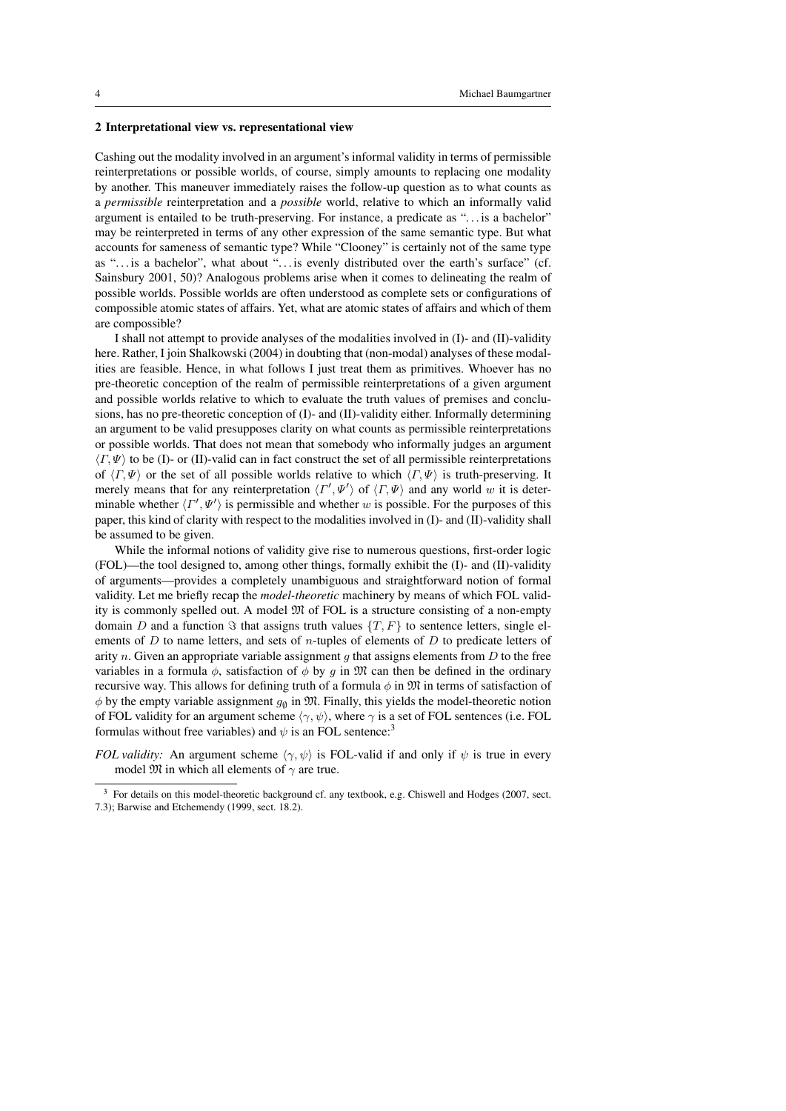#### 2 Interpretational view vs. representational view

Cashing out the modality involved in an argument's informal validity in terms of permissible reinterpretations or possible worlds, of course, simply amounts to replacing one modality by another. This maneuver immediately raises the follow-up question as to what counts as a *permissible* reinterpretation and a *possible* world, relative to which an informally valid argument is entailed to be truth-preserving. For instance, a predicate as ". . . is a bachelor" may be reinterpreted in terms of any other expression of the same semantic type. But what accounts for sameness of semantic type? While "Clooney" is certainly not of the same type as ". . . is a bachelor", what about ". . . is evenly distributed over the earth's surface" (cf. Sainsbury 2001, 50)? Analogous problems arise when it comes to delineating the realm of possible worlds. Possible worlds are often understood as complete sets or configurations of compossible atomic states of affairs. Yet, what are atomic states of affairs and which of them are compossible?

I shall not attempt to provide analyses of the modalities involved in (I)- and (II)-validity here. Rather, I join Shalkowski (2004) in doubting that (non-modal) analyses of these modalities are feasible. Hence, in what follows I just treat them as primitives. Whoever has no pre-theoretic conception of the realm of permissible reinterpretations of a given argument and possible worlds relative to which to evaluate the truth values of premises and conclusions, has no pre-theoretic conception of (I)- and (II)-validity either. Informally determining an argument to be valid presupposes clarity on what counts as permissible reinterpretations or possible worlds. That does not mean that somebody who informally judges an argument  $\langle \Gamma, \Psi \rangle$  to be (I)- or (II)-valid can in fact construct the set of all permissible reinterpretations of  $\langle \Gamma, \Psi \rangle$  or the set of all possible worlds relative to which  $\langle \Gamma, \Psi \rangle$  is truth-preserving. It merely means that for any reinterpretation  $\langle \Gamma', \Psi' \rangle$  of  $\langle \Gamma, \Psi \rangle$  and any world w it is determinable whether  $\langle \Gamma', \Psi' \rangle$  is permissible and whether w is possible. For the purposes of this paper, this kind of clarity with respect to the modalities involved in (I)- and (II)-validity shall be assumed to be given.

While the informal notions of validity give rise to numerous questions, first-order logic (FOL)—the tool designed to, among other things, formally exhibit the (I)- and (II)-validity of arguments—provides a completely unambiguous and straightforward notion of formal validity. Let me briefly recap the *model-theoretic* machinery by means of which FOL validity is commonly spelled out. A model  $\mathfrak{M}$  of FOL is a structure consisting of a non-empty domain D and a function  $\Im$  that assigns truth values  $\{T, F\}$  to sentence letters, single elements of  $D$  to name letters, and sets of  $n$ -tuples of elements of  $D$  to predicate letters of arity n. Given an appropriate variable assignment  $g$  that assigns elements from  $D$  to the free variables in a formula  $\phi$ , satisfaction of  $\phi$  by g in M can then be defined in the ordinary recursive way. This allows for defining truth of a formula  $\phi$  in M in terms of satisfaction of  $\phi$  by the empty variable assignment  $g_{\emptyset}$  in  $\mathfrak{M}$ . Finally, this yields the model-theoretic notion of FOL validity for an argument scheme  $\langle \gamma, \psi \rangle$ , where  $\gamma$  is a set of FOL sentences (i.e. FOL formulas without free variables) and  $\psi$  is an FOL sentence:<sup>3</sup>

*FOL validity:* An argument scheme  $\langle \gamma, \psi \rangle$  is FOL-valid if and only if  $\psi$  is true in every model  $\mathfrak{M}$  in which all elements of  $\gamma$  are true.

<sup>3</sup> For details on this model-theoretic background cf. any textbook, e.g. Chiswell and Hodges (2007, sect. 7.3); Barwise and Etchemendy (1999, sect. 18.2).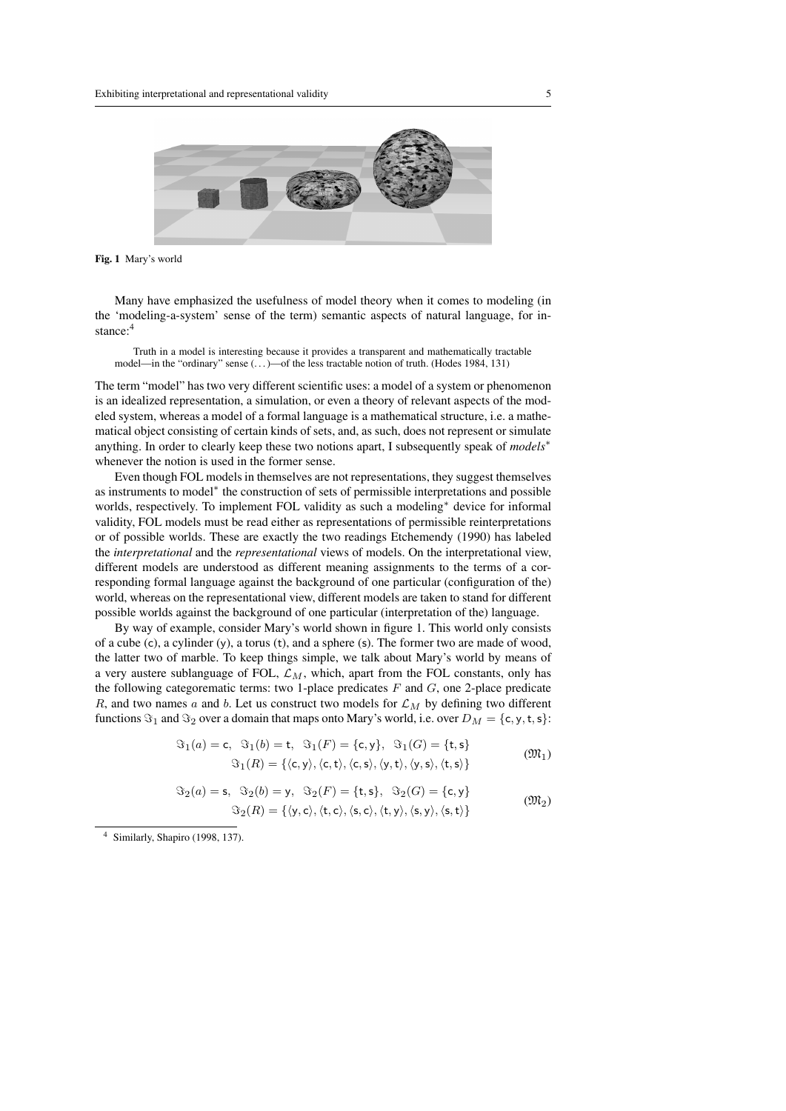

Fig. 1 Mary's world

Many have emphasized the usefulness of model theory when it comes to modeling (in the 'modeling-a-system' sense of the term) semantic aspects of natural language, for instance:<sup>4</sup>

Truth in a model is interesting because it provides a transparent and mathematically tractable model—in the "ordinary" sense (. . . )—of the less tractable notion of truth. (Hodes 1984, 131)

The term "model" has two very different scientific uses: a model of a system or phenomenon is an idealized representation, a simulation, or even a theory of relevant aspects of the modeled system, whereas a model of a formal language is a mathematical structure, i.e. a mathematical object consisting of certain kinds of sets, and, as such, does not represent or simulate anything. In order to clearly keep these two notions apart, I subsequently speak of *models*<sup>∗</sup> whenever the notion is used in the former sense.

Even though FOL models in themselves are not representations, they suggest themselves as instruments to model\* the construction of sets of permissible interpretations and possible worlds, respectively. To implement FOL validity as such a modeling<sup>\*</sup> device for informal validity, FOL models must be read either as representations of permissible reinterpretations or of possible worlds. These are exactly the two readings Etchemendy (1990) has labeled the *interpretational* and the *representational* views of models. On the interpretational view, different models are understood as different meaning assignments to the terms of a corresponding formal language against the background of one particular (configuration of the) world, whereas on the representational view, different models are taken to stand for different possible worlds against the background of one particular (interpretation of the) language.

By way of example, consider Mary's world shown in figure 1. This world only consists of a cube (c), a cylinder (y), a torus (t), and a sphere (s). The former two are made of wood, the latter two of marble. To keep things simple, we talk about Mary's world by means of a very austere sublanguage of FOL,  $\mathcal{L}_M$ , which, apart from the FOL constants, only has the following categorematic terms: two 1-place predicates  $F$  and  $G$ , one 2-place predicate R, and two names a and b. Let us construct two models for  $\mathcal{L}_M$  by defining two different functions  $\Im_1$  and  $\Im_2$  over a domain that maps onto Mary's world, i.e. over  $D_M = \{c, y, t, s\}$ :

$$
\mathfrak{F}_1(a) = \mathsf{c}, \quad \mathfrak{F}_1(b) = \mathsf{t}, \quad \mathfrak{F}_1(F) = \{\mathsf{c}, \mathsf{y}\}, \quad \mathfrak{F}_1(G) = \{\mathsf{t}, \mathsf{s}\}
$$
\n
$$
\mathfrak{F}_1(R) = \{\langle \mathsf{c}, \mathsf{y} \rangle, \langle \mathsf{c}, \mathsf{t} \rangle, \langle \mathsf{c}, \mathsf{s} \rangle, \langle \mathsf{y}, \mathsf{t} \rangle, \langle \mathsf{y}, \mathsf{s} \rangle, \langle \mathsf{t}, \mathsf{s} \rangle\}
$$
\n
$$
( \mathfrak{M}_1 )
$$

$$
\Im_2(a) = \mathsf{s}, \ \Im_2(b) = \mathsf{y}, \ \Im_2(F) = \{\mathsf{t}, \mathsf{s}\}, \ \Im_2(G) = \{\mathsf{c}, \mathsf{y}\}
$$

$$
\Im_2(R) = \{\langle \mathsf{y}, \mathsf{c} \rangle, \langle \mathsf{t}, \mathsf{c} \rangle, \langle \mathsf{s}, \mathsf{c} \rangle, \langle \mathsf{t}, \mathsf{y} \rangle, \langle \mathsf{s}, \mathsf{y} \rangle, \langle \mathsf{s}, \mathsf{t} \rangle\}
$$
( $\mathfrak{M}_2$ )

<sup>4</sup> Similarly, Shapiro (1998, 137).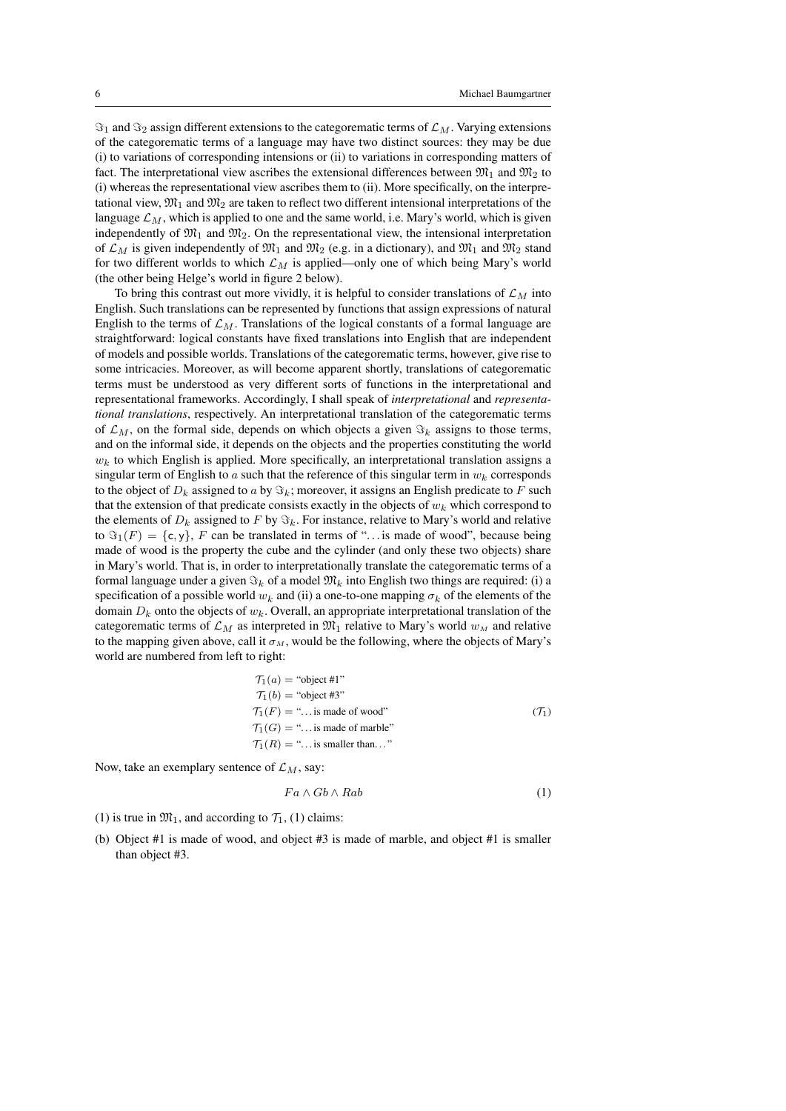$\Im_1$  and  $\Im_2$  assign different extensions to the categorematic terms of  $\mathcal{L}_M$ . Varying extensions of the categorematic terms of a language may have two distinct sources: they may be due (i) to variations of corresponding intensions or (ii) to variations in corresponding matters of fact. The interpretational view ascribes the extensional differences between  $\mathfrak{M}_1$  and  $\mathfrak{M}_2$  to (i) whereas the representational view ascribes them to (ii). More specifically, on the interpretational view,  $\mathfrak{M}_1$  and  $\mathfrak{M}_2$  are taken to reflect two different intensional interpretations of the language  $\mathcal{L}_M$ , which is applied to one and the same world, i.e. Mary's world, which is given independently of  $\mathfrak{M}_1$  and  $\mathfrak{M}_2$ . On the representational view, the intensional interpretation of  $\mathcal{L}_M$  is given independently of  $\mathfrak{M}_1$  and  $\mathfrak{M}_2$  (e.g. in a dictionary), and  $\mathfrak{M}_1$  and  $\mathfrak{M}_2$  stand for two different worlds to which  $\mathcal{L}_M$  is applied—only one of which being Mary's world (the other being Helge's world in figure 2 below).

To bring this contrast out more vividly, it is helpful to consider translations of  $\mathcal{L}_M$  into English. Such translations can be represented by functions that assign expressions of natural English to the terms of  $\mathcal{L}_M$ . Translations of the logical constants of a formal language are straightforward: logical constants have fixed translations into English that are independent of models and possible worlds. Translations of the categorematic terms, however, give rise to some intricacies. Moreover, as will become apparent shortly, translations of categorematic terms must be understood as very different sorts of functions in the interpretational and representational frameworks. Accordingly, I shall speak of *interpretational* and *representational translations*, respectively. An interpretational translation of the categorematic terms of  $\mathcal{L}_M$ , on the formal side, depends on which objects a given  $\Im_k$  assigns to those terms, and on the informal side, it depends on the objects and the properties constituting the world  $w_k$  to which English is applied. More specifically, an interpretational translation assigns a singular term of English to a such that the reference of this singular term in  $w_k$  corresponds to the object of  $D_k$  assigned to a by  $\Im_k$ ; moreover, it assigns an English predicate to F such that the extension of that predicate consists exactly in the objects of  $w_k$  which correspond to the elements of  $D_k$  assigned to F by  $\Im_k$ . For instance, relative to Mary's world and relative to  $\Im_1(F) = \{c, y\}$ , F can be translated in terms of "... is made of wood", because being made of wood is the property the cube and the cylinder (and only these two objects) share in Mary's world. That is, in order to interpretationally translate the categorematic terms of a formal language under a given  $\Im_k$  of a model  $\mathfrak{M}_k$  into English two things are required: (i) a specification of a possible world  $w_k$  and (ii) a one-to-one mapping  $\sigma_k$  of the elements of the domain  $D_k$  onto the objects of  $w_k$ . Overall, an appropriate interpretational translation of the categorematic terms of  $\mathcal{L}_M$  as interpreted in  $\mathfrak{M}_1$  relative to Mary's world  $w_M$  and relative to the mapping given above, call it  $\sigma_M$ , would be the following, where the objects of Mary's world are numbered from left to right:

$$
T_1(a) = "object #1"\nT_1(b) = "object #3"\nT_1(F) = "... is made of wood"\nT_1(G) = "... is made of marble"\nT_1(R) = "... is smaller than..."\n(7)
$$

Now, take an exemplary sentence of  $\mathcal{L}_M$ , say:

$$
Fa \wedge Gb \wedge Rab \tag{1}
$$

- (1) is true in  $\mathfrak{M}_1$ , and according to  $\mathcal{T}_1$ , (1) claims:
- (b) Object #1 is made of wood, and object #3 is made of marble, and object #1 is smaller than object #3.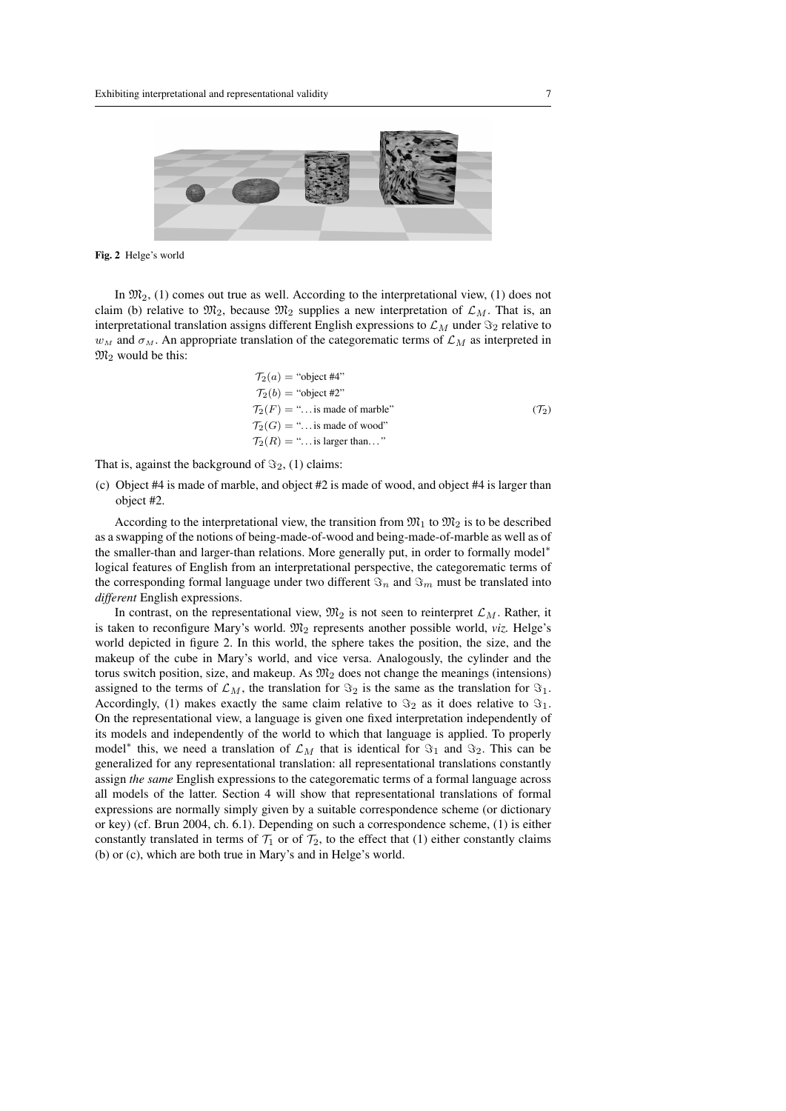

Fig. 2 Helge's world

In  $\mathfrak{M}_2$ , (1) comes out true as well. According to the interpretational view, (1) does not claim (b) relative to  $\mathfrak{M}_2$ , because  $\mathfrak{M}_2$  supplies a new interpretation of  $\mathcal{L}_M$ . That is, an interpretational translation assigns different English expressions to  $\mathcal{L}_M$  under  $\Im_2$  relative to  $w_M$  and  $\sigma_M$ . An appropriate translation of the categorematic terms of  $\mathcal{L}_M$  as interpreted in  $\mathfrak{M}_2$  would be this:

$$
T_2(a) = \text{``object #4''}
$$
  
\n
$$
T_2(b) = \text{``object #2''}
$$
  
\n
$$
T_2(F) = \text{``... is made of marble''}
$$
  
\n
$$
T_2(G) = \text{``... is made of wood''}
$$
  
\n
$$
T_2(R) = \text{``... is larger than...''}
$$

That is, against the background of  $\Im_2$ , (1) claims:

(c) Object #4 is made of marble, and object #2 is made of wood, and object #4 is larger than object #2.

According to the interpretational view, the transition from  $\mathfrak{M}_1$  to  $\mathfrak{M}_2$  is to be described as a swapping of the notions of being-made-of-wood and being-made-of-marble as well as of the smaller-than and larger-than relations. More generally put, in order to formally model<sup>∗</sup> logical features of English from an interpretational perspective, the categorematic terms of the corresponding formal language under two different  $\Im_n$  and  $\Im_m$  must be translated into *different* English expressions.

In contrast, on the representational view,  $\mathfrak{M}_2$  is not seen to reinterpret  $\mathcal{L}_M$ . Rather, it is taken to reconfigure Mary's world.  $\mathfrak{M}_2$  represents another possible world, *viz.* Helge's world depicted in figure 2. In this world, the sphere takes the position, the size, and the makeup of the cube in Mary's world, and vice versa. Analogously, the cylinder and the torus switch position, size, and makeup. As  $\mathfrak{M}_2$  does not change the meanings (intensions) assigned to the terms of  $\mathcal{L}_M$ , the translation for  $\Im_2$  is the same as the translation for  $\Im_1$ . Accordingly, (1) makes exactly the same claim relative to  $\Im_2$  as it does relative to  $\Im_1$ . On the representational view, a language is given one fixed interpretation independently of its models and independently of the world to which that language is applied. To properly model<sup>\*</sup> this, we need a translation of  $\mathcal{L}_M$  that is identical for  $\Im_1$  and  $\Im_2$ . This can be generalized for any representational translation: all representational translations constantly assign *the same* English expressions to the categorematic terms of a formal language across all models of the latter. Section 4 will show that representational translations of formal expressions are normally simply given by a suitable correspondence scheme (or dictionary or key) (cf. Brun 2004, ch. 6.1). Depending on such a correspondence scheme, (1) is either constantly translated in terms of  $\mathcal{T}_1$  or of  $\mathcal{T}_2$ , to the effect that (1) either constantly claims (b) or (c), which are both true in Mary's and in Helge's world.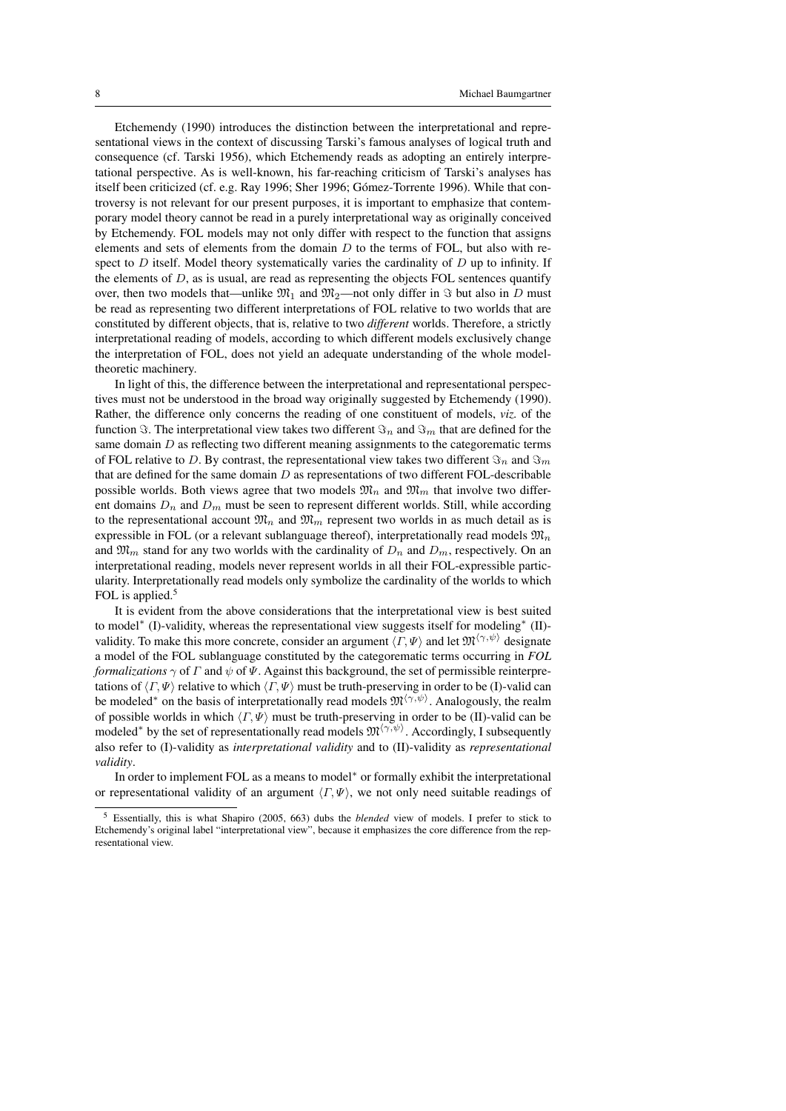Etchemendy (1990) introduces the distinction between the interpretational and representational views in the context of discussing Tarski's famous analyses of logical truth and consequence (cf. Tarski 1956), which Etchemendy reads as adopting an entirely interpretational perspective. As is well-known, his far-reaching criticism of Tarski's analyses has itself been criticized (cf. e.g. Ray 1996; Sher 1996; Gómez-Torrente 1996). While that controversy is not relevant for our present purposes, it is important to emphasize that contemporary model theory cannot be read in a purely interpretational way as originally conceived by Etchemendy. FOL models may not only differ with respect to the function that assigns elements and sets of elements from the domain  $D$  to the terms of FOL, but also with respect to  $D$  itself. Model theory systematically varies the cardinality of  $D$  up to infinity. If the elements of  $D$ , as is usual, are read as representing the objects FOL sentences quantify over, then two models that—unlike  $\mathfrak{M}_1$  and  $\mathfrak{M}_2$ —not only differ in  $\Im$  but also in D must be read as representing two different interpretations of FOL relative to two worlds that are constituted by different objects, that is, relative to two *different* worlds. Therefore, a strictly interpretational reading of models, according to which different models exclusively change the interpretation of FOL, does not yield an adequate understanding of the whole modeltheoretic machinery.

In light of this, the difference between the interpretational and representational perspectives must not be understood in the broad way originally suggested by Etchemendy (1990). Rather, the difference only concerns the reading of one constituent of models, *viz.* of the function  $\Im$ . The interpretational view takes two different  $\Im_n$  and  $\Im_m$  that are defined for the same domain  $D$  as reflecting two different meaning assignments to the categorematic terms of FOL relative to D. By contrast, the representational view takes two different  $\Im_n$  and  $\Im_m$ that are defined for the same domain  $D$  as representations of two different FOL-describable possible worlds. Both views agree that two models  $\mathfrak{M}_n$  and  $\mathfrak{M}_m$  that involve two different domains  $D_n$  and  $D_m$  must be seen to represent different worlds. Still, while according to the representational account  $\mathfrak{M}_n$  and  $\mathfrak{M}_m$  represent two worlds in as much detail as is expressible in FOL (or a relevant sublanguage thereof), interpretationally read models  $\mathfrak{M}_n$ and  $\mathfrak{M}_m$  stand for any two worlds with the cardinality of  $D_n$  and  $D_m$ , respectively. On an interpretational reading, models never represent worlds in all their FOL-expressible particularity. Interpretationally read models only symbolize the cardinality of the worlds to which FOL is applied.<sup>5</sup>

It is evident from the above considerations that the interpretational view is best suited to model<sup>\*</sup> (I)-validity, whereas the representational view suggests itself for modeling<sup>\*</sup> (II)validity. To make this more concrete, consider an argument  $\langle \Gamma, \Psi \rangle$  and let  $\mathfrak{M}^{\langle \gamma, \psi \rangle}$  designate a model of the FOL sublanguage constituted by the categorematic terms occurring in *FOL formalizations*  $\gamma$  of  $\Gamma$  and  $\psi$  of  $\Psi$ . Against this background, the set of permissible reinterpretations of  $\langle \Gamma, \Psi \rangle$  relative to which  $\langle \Gamma, \Psi \rangle$  must be truth-preserving in order to be (I)-valid can be modeled<sup>\*</sup> on the basis of interpretationally read models  $\mathfrak{M}^{\langle \gamma, \psi \rangle}$ . Analogously, the realm of possible worlds in which  $\langle \Gamma, \Psi \rangle$  must be truth-preserving in order to be (II)-valid can be modeled<sup>∗</sup> by the set of representationally read models  $\mathfrak{M}^{\langle\gamma,\psi\rangle}$ . Accordingly, I subsequently also refer to (I)-validity as *interpretational validity* and to (II)-validity as *representational validity*.

In order to implement FOL as a means to model<sup>\*</sup> or formally exhibit the interpretational or representational validity of an argument  $\langle \Gamma, \Psi \rangle$ , we not only need suitable readings of

<sup>5</sup> Essentially, this is what Shapiro (2005, 663) dubs the *blended* view of models. I prefer to stick to Etchemendy's original label "interpretational view", because it emphasizes the core difference from the representational view.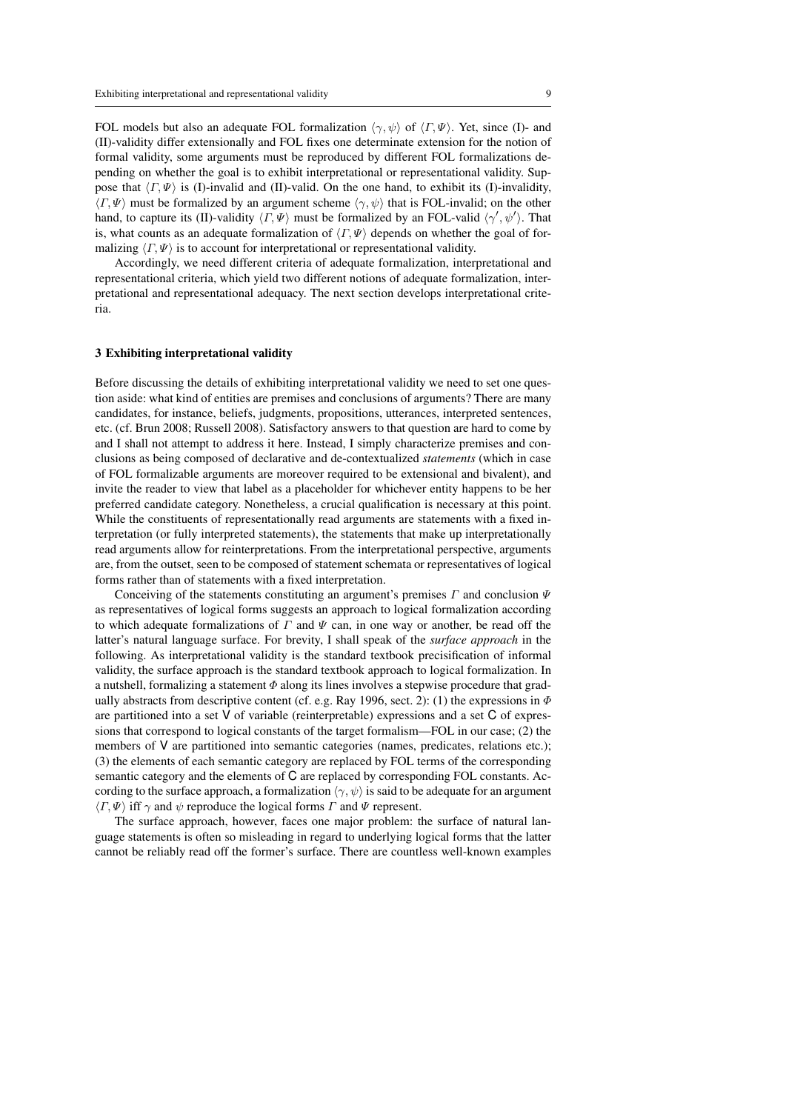FOL models but also an adequate FOL formalization  $\langle \gamma, \psi \rangle$  of  $\langle \Gamma, \Psi \rangle$ . Yet, since (I)- and (II)-validity differ extensionally and FOL fixes one determinate extension for the notion of formal validity, some arguments must be reproduced by different FOL formalizations depending on whether the goal is to exhibit interpretational or representational validity. Suppose that  $\langle \Gamma, \Psi \rangle$  is (I)-invalid and (II)-valid. On the one hand, to exhibit its (I)-invalidity,  $\langle \Gamma, \Psi \rangle$  must be formalized by an argument scheme  $\langle \gamma, \psi \rangle$  that is FOL-invalid; on the other hand, to capture its (II)-validity  $\langle \Gamma, \Psi \rangle$  must be formalized by an FOL-valid  $\langle \gamma', \psi' \rangle$ . That is, what counts as an adequate formalization of  $\langle \Gamma, \Psi \rangle$  depends on whether the goal of formalizing  $\langle \Gamma, \Psi \rangle$  is to account for interpretational or representational validity.

Accordingly, we need different criteria of adequate formalization, interpretational and representational criteria, which yield two different notions of adequate formalization, interpretational and representational adequacy. The next section develops interpretational criteria.

#### 3 Exhibiting interpretational validity

Before discussing the details of exhibiting interpretational validity we need to set one question aside: what kind of entities are premises and conclusions of arguments? There are many candidates, for instance, beliefs, judgments, propositions, utterances, interpreted sentences, etc. (cf. Brun 2008; Russell 2008). Satisfactory answers to that question are hard to come by and I shall not attempt to address it here. Instead, I simply characterize premises and conclusions as being composed of declarative and de-contextualized *statements* (which in case of FOL formalizable arguments are moreover required to be extensional and bivalent), and invite the reader to view that label as a placeholder for whichever entity happens to be her preferred candidate category. Nonetheless, a crucial qualification is necessary at this point. While the constituents of representationally read arguments are statements with a fixed interpretation (or fully interpreted statements), the statements that make up interpretationally read arguments allow for reinterpretations. From the interpretational perspective, arguments are, from the outset, seen to be composed of statement schemata or representatives of logical forms rather than of statements with a fixed interpretation.

Conceiving of the statements constituting an argument's premises  $\Gamma$  and conclusion  $\Psi$ as representatives of logical forms suggests an approach to logical formalization according to which adequate formalizations of  $\Gamma$  and  $\Psi$  can, in one way or another, be read off the latter's natural language surface. For brevity, I shall speak of the *surface approach* in the following. As interpretational validity is the standard textbook precisification of informal validity, the surface approach is the standard textbook approach to logical formalization. In a nutshell, formalizing a statement  $\Phi$  along its lines involves a stepwise procedure that gradually abstracts from descriptive content (cf. e.g. Ray 1996, sect. 2): (1) the expressions in  $\Phi$ are partitioned into a set V of variable (reinterpretable) expressions and a set C of expressions that correspond to logical constants of the target formalism—FOL in our case; (2) the members of V are partitioned into semantic categories (names, predicates, relations etc.); (3) the elements of each semantic category are replaced by FOL terms of the corresponding semantic category and the elements of C are replaced by corresponding FOL constants. According to the surface approach, a formalization  $\langle \gamma, \psi \rangle$  is said to be adequate for an argument  $\langle \Gamma, \Psi \rangle$  iff  $\gamma$  and  $\psi$  reproduce the logical forms  $\Gamma$  and  $\Psi$  represent.

The surface approach, however, faces one major problem: the surface of natural language statements is often so misleading in regard to underlying logical forms that the latter cannot be reliably read off the former's surface. There are countless well-known examples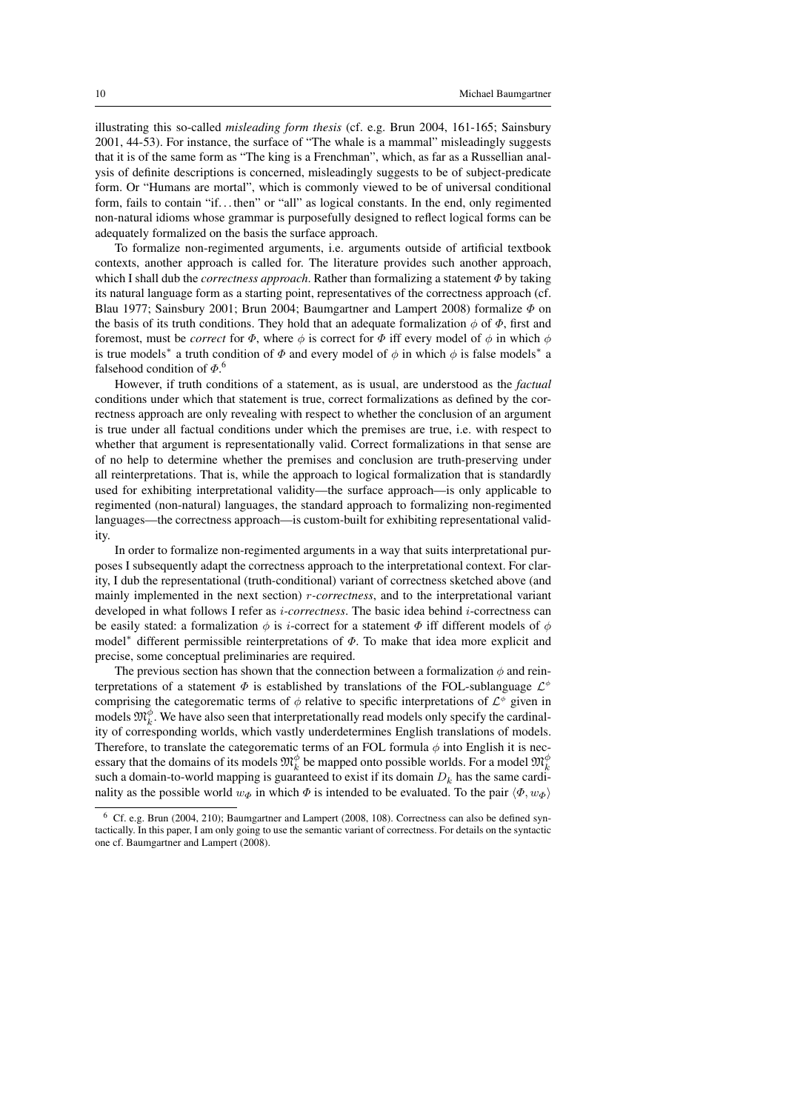illustrating this so-called *misleading form thesis* (cf. e.g. Brun 2004, 161-165; Sainsbury 2001, 44-53). For instance, the surface of "The whale is a mammal" misleadingly suggests that it is of the same form as "The king is a Frenchman", which, as far as a Russellian analysis of definite descriptions is concerned, misleadingly suggests to be of subject-predicate form. Or "Humans are mortal", which is commonly viewed to be of universal conditional form, fails to contain "if. . . then" or "all" as logical constants. In the end, only regimented non-natural idioms whose grammar is purposefully designed to reflect logical forms can be adequately formalized on the basis the surface approach.

To formalize non-regimented arguments, i.e. arguments outside of artificial textbook contexts, another approach is called for. The literature provides such another approach, which I shall dub the *correctness approach*. Rather than formalizing a statement Φ by taking its natural language form as a starting point, representatives of the correctness approach (cf. Blau 1977; Sainsbury 2001; Brun 2004; Baumgartner and Lampert 2008) formalize  $\Phi$  on the basis of its truth conditions. They hold that an adequate formalization  $\phi$  of  $\Phi$ , first and foremost, must be *correct* for  $\Phi$ , where  $\phi$  is correct for  $\Phi$  iff every model of  $\phi$  in which  $\phi$ is true models<sup>\*</sup> a truth condition of  $\Phi$  and every model of  $\phi$  in which  $\phi$  is false models<sup>\*</sup> a falsehood condition of  $\Phi$ .<sup>6</sup>

However, if truth conditions of a statement, as is usual, are understood as the *factual* conditions under which that statement is true, correct formalizations as defined by the correctness approach are only revealing with respect to whether the conclusion of an argument is true under all factual conditions under which the premises are true, i.e. with respect to whether that argument is representationally valid. Correct formalizations in that sense are of no help to determine whether the premises and conclusion are truth-preserving under all reinterpretations. That is, while the approach to logical formalization that is standardly used for exhibiting interpretational validity—the surface approach—is only applicable to regimented (non-natural) languages, the standard approach to formalizing non-regimented languages—the correctness approach—is custom-built for exhibiting representational validity.

In order to formalize non-regimented arguments in a way that suits interpretational purposes I subsequently adapt the correctness approach to the interpretational context. For clarity, I dub the representational (truth-conditional) variant of correctness sketched above (and mainly implemented in the next section) r*-correctness*, and to the interpretational variant developed in what follows I refer as i*-correctness*. The basic idea behind i-correctness can be easily stated: a formalization  $\phi$  is *i*-correct for a statement  $\Phi$  iff different models of  $\phi$ model<sup>∗</sup> different permissible reinterpretations of Φ. To make that idea more explicit and precise, some conceptual preliminaries are required.

The previous section has shown that the connection between a formalization  $\phi$  and reinterpretations of a statement  $\Phi$  is established by translations of the FOL-sublanguage  $\mathcal{L}^{\phi}$ comprising the categorematic terms of  $\phi$  relative to specific interpretations of  $\mathcal{L}^{\phi}$  given in models  $\mathfrak{M}_{k}^{\phi}$ . We have also seen that interpretationally read models only specify the cardinality of corresponding worlds, which vastly underdetermines English translations of models. Therefore, to translate the categorematic terms of an FOL formula  $\phi$  into English it is necessary that the domains of its models  $\mathfrak{M}^{\phi}_k$  be mapped onto possible worlds. For a model  $\mathfrak{M}^{\phi}_k$ such a domain-to-world mapping is guaranteed to exist if its domain  $D_k$  has the same cardinality as the possible world  $w_{\Phi}$  in which  $\Phi$  is intended to be evaluated. To the pair  $\langle \Phi, w_{\Phi} \rangle$ 

<sup>6</sup> Cf. e.g. Brun (2004, 210); Baumgartner and Lampert (2008, 108). Correctness can also be defined syntactically. In this paper, I am only going to use the semantic variant of correctness. For details on the syntactic one cf. Baumgartner and Lampert (2008).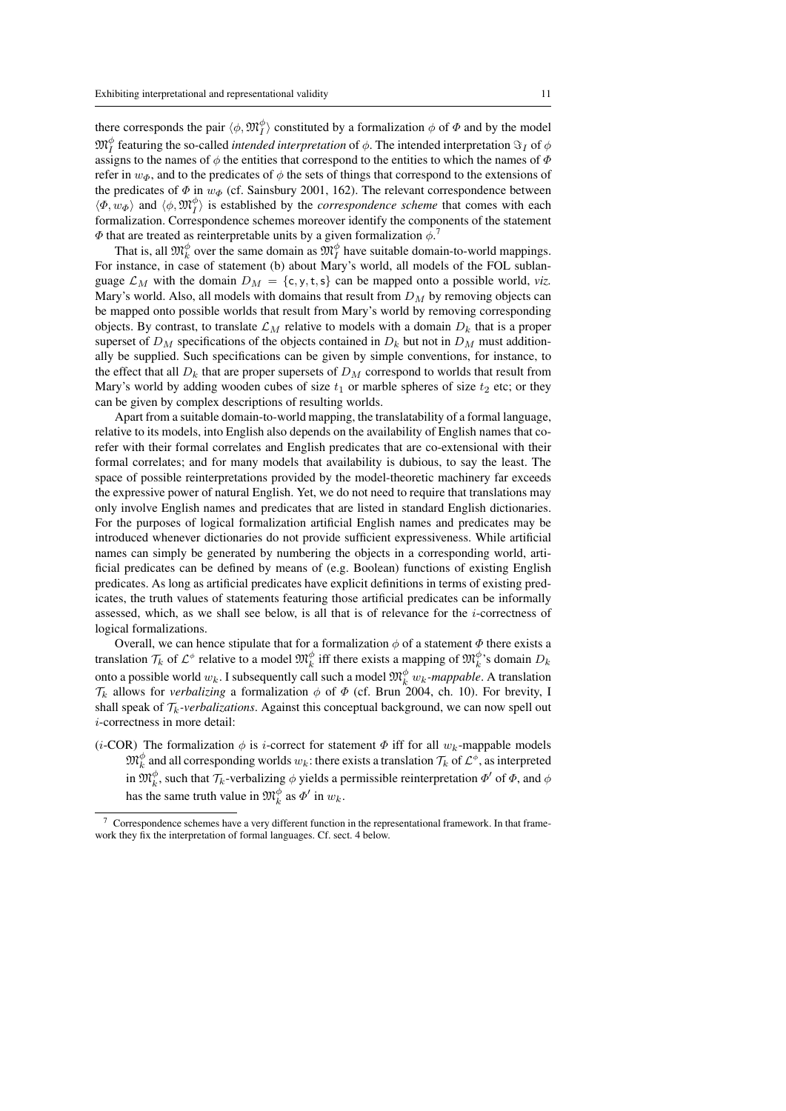there corresponds the pair  $\langle \phi, \mathfrak{M}_I^{\phi} \rangle$  constituted by a formalization  $\phi$  of  $\Phi$  and by the model  $\mathfrak{M}^\phi_I$  featuring the so-called *intended interpretation* of  $\phi$ . The intended interpretation  $\Im_I$  of  $\phi$ assigns to the names of  $\phi$  the entities that correspond to the entities to which the names of  $\Phi$ refer in  $w_{\phi}$ , and to the predicates of  $\phi$  the sets of things that correspond to the extensions of the predicates of  $\Phi$  in  $w_{\Phi}$  (cf. Sainsbury 2001, 162). The relevant correspondence between  $\langle \Phi, w_{\Phi} \rangle$  and  $\langle \phi, \mathfrak{M}_I^{\phi} \rangle$  is established by the *correspondence scheme* that comes with each formalization. Correspondence schemes moreover identify the components of the statement  $\Phi$  that are treated as reinterpretable units by a given formalization  $\phi$ .

That is, all  $\mathfrak{M}_k^{\phi}$  over the same domain as  $\mathfrak{M}_I^{\phi}$  have suitable domain-to-world mappings. For instance, in case of statement (b) about Mary's world, all models of the FOL sublanguage  $\mathcal{L}_M$  with the domain  $D_M = \{c, y, t, s\}$  can be mapped onto a possible world, *viz.* Mary's world. Also, all models with domains that result from  $D_M$  by removing objects can be mapped onto possible worlds that result from Mary's world by removing corresponding objects. By contrast, to translate  $\mathcal{L}_M$  relative to models with a domain  $D_k$  that is a proper superset of  $D_M$  specifications of the objects contained in  $D_k$  but not in  $D_M$  must additionally be supplied. Such specifications can be given by simple conventions, for instance, to the effect that all  $D_k$  that are proper supersets of  $D_M$  correspond to worlds that result from Mary's world by adding wooden cubes of size  $t_1$  or marble spheres of size  $t_2$  etc; or they can be given by complex descriptions of resulting worlds.

Apart from a suitable domain-to-world mapping, the translatability of a formal language, relative to its models, into English also depends on the availability of English names that corefer with their formal correlates and English predicates that are co-extensional with their formal correlates; and for many models that availability is dubious, to say the least. The space of possible reinterpretations provided by the model-theoretic machinery far exceeds the expressive power of natural English. Yet, we do not need to require that translations may only involve English names and predicates that are listed in standard English dictionaries. For the purposes of logical formalization artificial English names and predicates may be introduced whenever dictionaries do not provide sufficient expressiveness. While artificial names can simply be generated by numbering the objects in a corresponding world, artificial predicates can be defined by means of (e.g. Boolean) functions of existing English predicates. As long as artificial predicates have explicit definitions in terms of existing predicates, the truth values of statements featuring those artificial predicates can be informally assessed, which, as we shall see below, is all that is of relevance for the  $i$ -correctness of logical formalizations.

Overall, we can hence stipulate that for a formalization  $\phi$  of a statement  $\Phi$  there exists a translation  $\mathcal{T}_k$  of  $\mathcal{L}^{\phi}$  relative to a model  $\mathfrak{M}_k^{\phi}$  iff there exists a mapping of  $\mathfrak{M}_k^{\phi}$ 's domain  $D_k$ onto a possible world  $w_k$ . I subsequently call such a model  $\mathfrak{M}^{\phi}_k$   $w_k$ *-mappable*. A translation  $\mathcal{T}_k$  allows for *verbalizing* a formalization  $\phi$  of  $\Phi$  (cf. Brun 2004, ch. 10). For brevity, I shall speak of  $\mathcal{T}_k$ -verbalizations. Against this conceptual background, we can now spell out i-correctness in more detail:

(*i*-COR) The formalization  $\phi$  is *i*-correct for statement  $\Phi$  iff for all  $w_k$ -mappable models  $\mathfrak{M}^\phi_k$  and all corresponding worlds  $w_k$ : there exists a translation  $\mathcal{T}_k$  of  $\mathcal{L}^\phi$ , as interpreted in  $\mathfrak{M}_k^{\phi}$ , such that  $\mathcal{T}_k$ -verbalizing  $\phi$  yields a permissible reinterpretation  $\Phi'$  of  $\Phi$ , and  $\phi$ has the same truth value in  $\mathfrak{M}_k^{\phi}$  as  $\Phi'$  in  $w_k$ .

<sup>7</sup> Correspondence schemes have a very different function in the representational framework. In that framework they fix the interpretation of formal languages. Cf. sect. 4 below.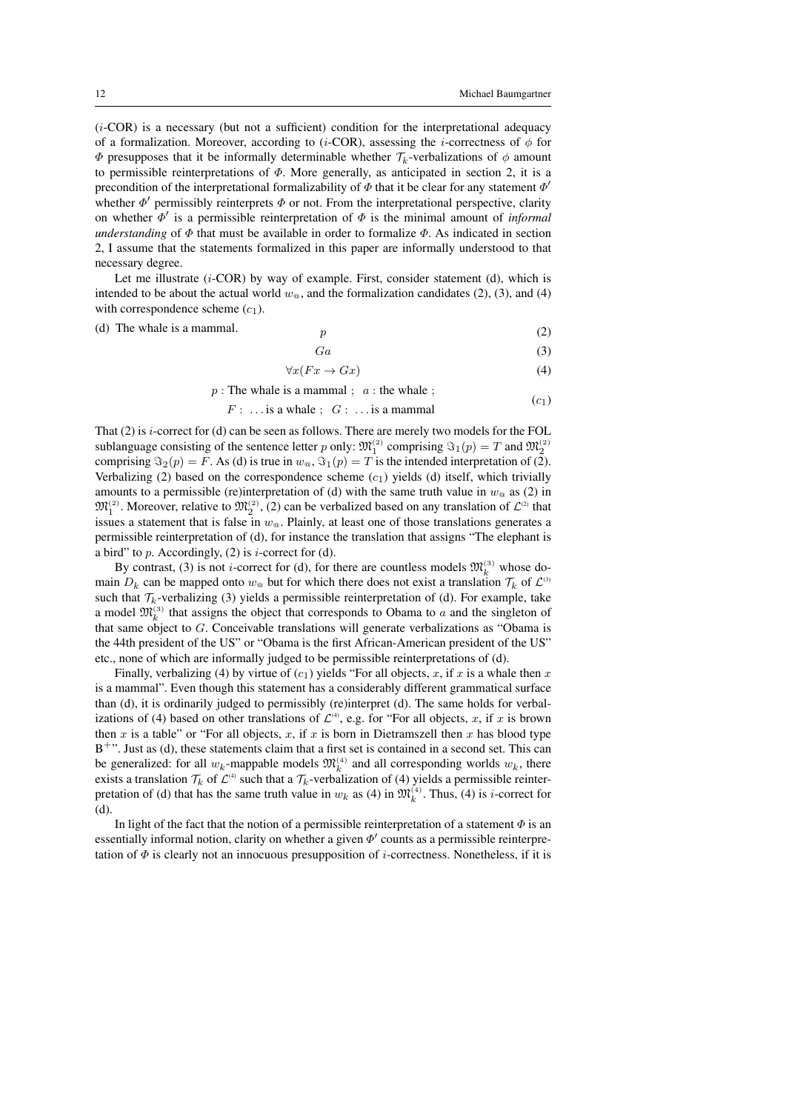$(c<sub>1</sub>)$ 

 $(i-COR)$  is a necessary (but not a sufficient) condition for the interpretational adequacy of a formalization. Moreover, according to (*i*-COR), assessing the *i*-correctness of  $\phi$  for  $\Phi$  presupposes that it be informally determinable whether  $\mathcal{T}_k$ -verbalizations of  $\phi$  amount to permissible reinterpretations of  $\Phi$ . More generally, as anticipated in section 2, it is a precondition of the interpretational formalizability of  $\Phi$  that it be clear for any statement  $\Phi'$ whether  $\Phi'$  permissibly reinterprets  $\Phi$  or not. From the interpretational perspective, clarity on whether  $\Phi'$  is a permissible reinterpretation of  $\Phi$  is the minimal amount of *informal understanding* of  $\Phi$  that must be available in order to formalize  $\Phi$ . As indicated in section 2, I assume that the statements formalized in this paper are informally understood to that necessary degree.

Let me illustrate  $(i$ -COR) by way of example. First, consider statement (d), which is intended to be about the actual world  $w_{\varphi}$ , and the formalization candidates (2), (3), and (4) with correspondence scheme  $(c_1)$ .

 $(d)$  The whale is a mammal.

$$
p \tag{2}
$$

$$
Ga \tag{3}
$$

$$
\forall x (Fx \to Gx) \tag{4}
$$

 $p:$  The whale is a mammal ;  $a:$  the whale ;

$$
F: \ldots
$$
 is a whale ;  $G: \ldots$  is a mammal

That (2) is i-correct for (d) can be seen as follows. There are merely two models for the FOL sublanguage consisting of the sentence letter p only:  $\mathfrak{M}_1^{(2)}$  comprising  $\mathfrak{S}_1(p) = T$  and  $\mathfrak{M}_2^{(2)}$ comprising  $\Im_2(p) = F$ . As (d) is true in  $w_{\omega}$ ,  $\Im_1(p) = T$  is the intended interpretation of (2). Verbalizing (2) based on the correspondence scheme  $(c<sub>1</sub>)$  yields (d) itself, which trivially amounts to a permissible (re)interpretation of (d) with the same truth value in  $w_{\omega}$  as (2) in  $\mathfrak{M}_1^{(2)}$ . Moreover, relative to  $\mathfrak{M}_2^{(2)}$ , (2) can be verbalized based on any translation of  $\mathcal{L}^{(2)}$  that issues a statement that is false in  $w_{\omega}$ . Plainly, at least one of those translations generates a permissible reinterpretation of (d), for instance the translation that assigns "The elephant is a bird" to  $p$ . Accordingly, (2) is *i*-correct for (d).

By contrast, (3) is not *i*-correct for (d), for there are countless models  $\mathfrak{M}_k^{(3)}$  whose domain  $D_k$  can be mapped onto  $w_{\omega}$  but for which there does not exist a translation  $\mathcal{T}_k$  of  $\mathcal{L}^{\alpha}$ such that  $\mathcal{T}_k$ -verbalizing (3) yields a permissible reinterpretation of (d). For example, take a model  $\mathfrak{M}_k^{(3)}$  that assigns the object that corresponds to Obama to a and the singleton of that same object to G. Conceivable translations will generate verbalizations as "Obama is the 44th president of the US" or "Obama is the first African-American president of the US" etc., none of which are informally judged to be permissible reinterpretations of (d).

Finally, verbalizing (4) by virtue of  $(c_1)$  yields "For all objects, x, if x is a whale then x is a mammal". Even though this statement has a considerably different grammatical surface than (d), it is ordinarily judged to permissibly (re)interpret (d). The same holds for verbalizations of (4) based on other translations of  $\mathcal{L}^{(4)}$ , e.g. for "For all objects, x, if x is brown then x is a table" or "For all objects, x, if x is born in Dietramszell then x has blood type  $B^{+}$ ". Just as (d), these statements claim that a first set is contained in a second set. This can be generalized: for all  $w_k$ -mappable models  $\mathfrak{M}_k^{(4)}$  and all corresponding worlds  $w_k$ , there exists a translation  $\mathcal{T}_k$  of  $\mathcal{L}^{\scriptscriptstyle(\!4)}$  such that a  $\mathcal{T}_k$ -verbalization of (4) yields a permissible reinterpretation of (d) that has the same truth value in  $w_k$  as (4) in  $\mathfrak{M}_k^{(4)}$ . Thus, (4) is *i*-correct for (d).

In light of the fact that the notion of a permissible reinterpretation of a statement  $\Phi$  is an essentially informal notion, clarity on whether a given  $\Phi'$  counts as a permissible reinterpretation of  $\Phi$  is clearly not an innocuous presupposition of *i*-correctness. Nonetheless, if it is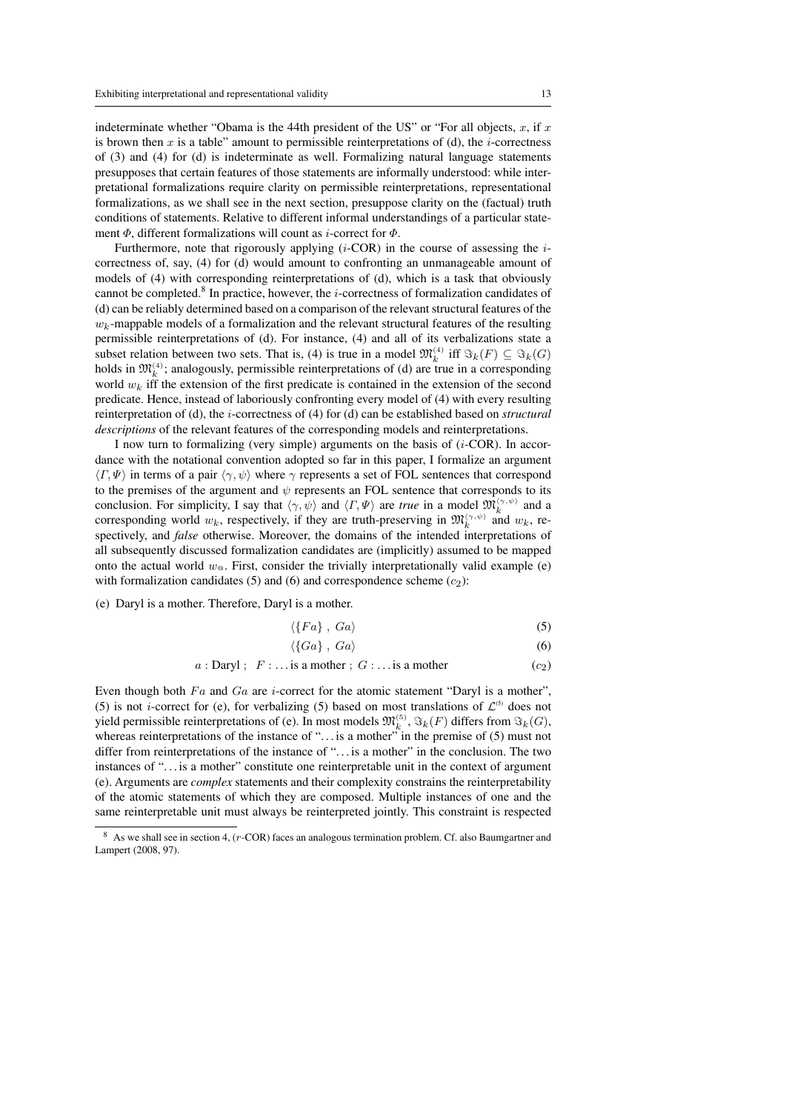indeterminate whether "Obama is the 44th president of the US" or "For all objects,  $x$ , if  $x$ is brown then x is a table" amount to permissible reinterpretations of (d), the *i*-correctness of (3) and (4) for (d) is indeterminate as well. Formalizing natural language statements presupposes that certain features of those statements are informally understood: while interpretational formalizations require clarity on permissible reinterpretations, representational formalizations, as we shall see in the next section, presuppose clarity on the (factual) truth conditions of statements. Relative to different informal understandings of a particular statement  $\Phi$ , different formalizations will count as *i*-correct for  $\Phi$ .

Furthermore, note that rigorously applying  $(i$ -COR) in the course of assessing the  $i$ correctness of, say, (4) for (d) would amount to confronting an unmanageable amount of models of (4) with corresponding reinterpretations of (d), which is a task that obviously cannot be completed.<sup>8</sup> In practice, however, the *i*-correctness of formalization candidates of (d) can be reliably determined based on a comparison of the relevant structural features of the  $w_k$ -mappable models of a formalization and the relevant structural features of the resulting permissible reinterpretations of (d). For instance, (4) and all of its verbalizations state a subset relation between two sets. That is, (4) is true in a model  $\mathfrak{M}_k^{(4)}$  iff  $\Im_k(F) \subseteq \Im_k(G)$ holds in  $\mathfrak{M}_k^{(4)}$ ; analogously, permissible reinterpretations of (d) are true in a corresponding world  $w_k$  iff the extension of the first predicate is contained in the extension of the second predicate. Hence, instead of laboriously confronting every model of (4) with every resulting reinterpretation of (d), the i-correctness of (4) for (d) can be established based on *structural descriptions* of the relevant features of the corresponding models and reinterpretations.

I now turn to formalizing (very simple) arguments on the basis of  $(i$ -COR). In accordance with the notational convention adopted so far in this paper, I formalize an argument  $\langle \Gamma, \Psi \rangle$  in terms of a pair  $\langle \gamma, \psi \rangle$  where  $\gamma$  represents a set of FOL sentences that correspond to the premises of the argument and  $\psi$  represents an FOL sentence that corresponds to its conclusion. For simplicity, I say that  $\langle \gamma, \psi \rangle$  and  $\langle \Gamma, \Psi \rangle$  are *true* in a model  $\mathfrak{M}_k^{\langle \gamma, \psi \rangle}$  and a corresponding world  $w_k$ , respectively, if they are truth-preserving in  $\mathfrak{M}_k^{(\gamma,\psi)}$  and  $w_k$ , respectively, and *false* otherwise. Moreover, the domains of the intended interpretations of all subsequently discussed formalization candidates are (implicitly) assumed to be mapped onto the actual world  $w_{\varphi}$ . First, consider the trivially interpretationally valid example (e) with formalization candidates (5) and (6) and correspondence scheme  $(c_2)$ :

(e) Daryl is a mother. Therefore, Daryl is a mother.

$$
\langle \{Fa\}, Ga\rangle \tag{5}
$$

$$
\langle \{Ga\} , Ga \rangle \tag{6}
$$

$$
a: \text{Daryl}; \ \ F: \ldots \text{is a mother}; \ G: \ldots \text{is a mother} \tag{c_2}
$$

Even though both  $Fa$  and  $Ga$  are *i*-correct for the atomic statement "Daryl is a mother", (5) is not *i*-correct for (e), for verbalizing (5) based on most translations of  $\mathcal{L}^{(5)}$  does not yield permissible reinterpretations of (e). In most models  $\mathfrak{M}^{(5)}_k, \Im_k(F)$  differs from  $\Im_k(G)$ , whereas reinterpretations of the instance of ". . . is a mother" in the premise of (5) must not differ from reinterpretations of the instance of ". . . is a mother" in the conclusion. The two instances of ". . . is a mother" constitute one reinterpretable unit in the context of argument (e). Arguments are *complex* statements and their complexity constrains the reinterpretability of the atomic statements of which they are composed. Multiple instances of one and the same reinterpretable unit must always be reinterpreted jointly. This constraint is respected

As we shall see in section 4, (r-COR) faces an analogous termination problem. Cf. also Baumgartner and Lampert (2008, 97).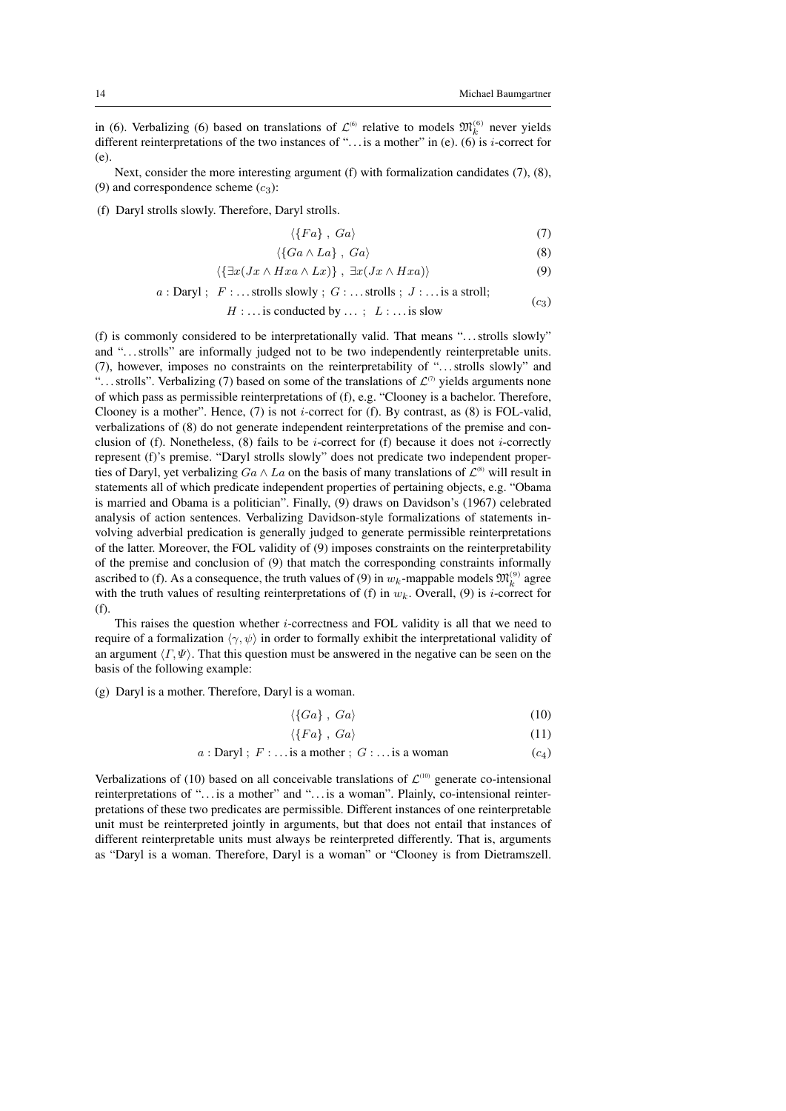in (6). Verbalizing (6) based on translations of  $\mathcal{L}^{(6)}$  relative to models  $\mathfrak{M}_k^{(6)}$  never yields different reinterpretations of the two instances of "... is a mother" in (e). (6) is *i*-correct for (e).

Next, consider the more interesting argument (f) with formalization candidates (7), (8), (9) and correspondence scheme  $(c_3)$ :

(f) Daryl strolls slowly. Therefore, Daryl strolls.

$$
\langle \{Fa\}, Ga\rangle \tag{7}
$$

$$
\langle \{Ga \wedge La\}, \ Ga \rangle \tag{8}
$$

$$
\langle \{ \exists x (Jx \wedge Hxa \wedge Lx) \} , \exists x (Jx \wedge Hxa) \rangle \tag{9}
$$

$$
a: \text{Daryl}; \quad F: \dots \text{strolls slowly}; \quad G: \dots \text{strolls}; \quad J: \dots \text{is a stroll};
$$
  
 $H: \dots \text{is conducted by } \dots; \quad L: \dots \text{is slow}$  (c<sub>3</sub>)

(f) is commonly considered to be interpretationally valid. That means ". . . strolls slowly" and "...strolls" are informally judged not to be two independently reinterpretable units. (7), however, imposes no constraints on the reinterpretability of ". . . strolls slowly" and "... strolls". Verbalizing (7) based on some of the translations of  $\mathcal{L}^{\tau}$  yields arguments none of which pass as permissible reinterpretations of (f), e.g. "Clooney is a bachelor. Therefore, Clooney is a mother". Hence,  $(7)$  is not *i*-correct for  $(f)$ . By contrast, as  $(8)$  is FOL-valid, verbalizations of (8) do not generate independent reinterpretations of the premise and conclusion of (f). Nonetheless, (8) fails to be *i*-correct for (f) because it does not *i*-correctly represent (f)'s premise. "Daryl strolls slowly" does not predicate two independent properties of Daryl, yet verbalizing  $Ga \wedge La$  on the basis of many translations of  $\mathcal{L}^{(8)}$  will result in statements all of which predicate independent properties of pertaining objects, e.g. "Obama is married and Obama is a politician". Finally, (9) draws on Davidson's (1967) celebrated analysis of action sentences. Verbalizing Davidson-style formalizations of statements involving adverbial predication is generally judged to generate permissible reinterpretations of the latter. Moreover, the FOL validity of (9) imposes constraints on the reinterpretability of the premise and conclusion of (9) that match the corresponding constraints informally ascribed to (f). As a consequence, the truth values of (9) in  $w_k$ -mappable models  $\mathfrak{M}_k^{(9)}$  agree with the truth values of resulting reinterpretations of (f) in  $w_k$ . Overall, (9) is *i*-correct for (f).

This raises the question whether  $i$ -correctness and FOL validity is all that we need to require of a formalization  $\langle \gamma, \psi \rangle$  in order to formally exhibit the interpretational validity of an argument  $\langle \Gamma, \Psi \rangle$ . That this question must be answered in the negative can be seen on the basis of the following example:

(g) Daryl is a mother. Therefore, Daryl is a woman.

$$
\langle \{Ga\} , Ga \rangle \tag{10}
$$

$$
\langle \{Fa\}, Ga\rangle \tag{11}
$$

$$
a: \text{Daryl}; \ F: \dots \text{is a mother}; \ G: \dots \text{is a woman} \tag{c_4}
$$

Verbalizations of (10) based on all conceivable translations of  $\mathcal{L}^{(10)}$  generate co-intensional reinterpretations of "... is a mother" and "... is a woman". Plainly, co-intensional reinterpretations of these two predicates are permissible. Different instances of one reinterpretable unit must be reinterpreted jointly in arguments, but that does not entail that instances of different reinterpretable units must always be reinterpreted differently. That is, arguments as "Daryl is a woman. Therefore, Daryl is a woman" or "Clooney is from Dietramszell.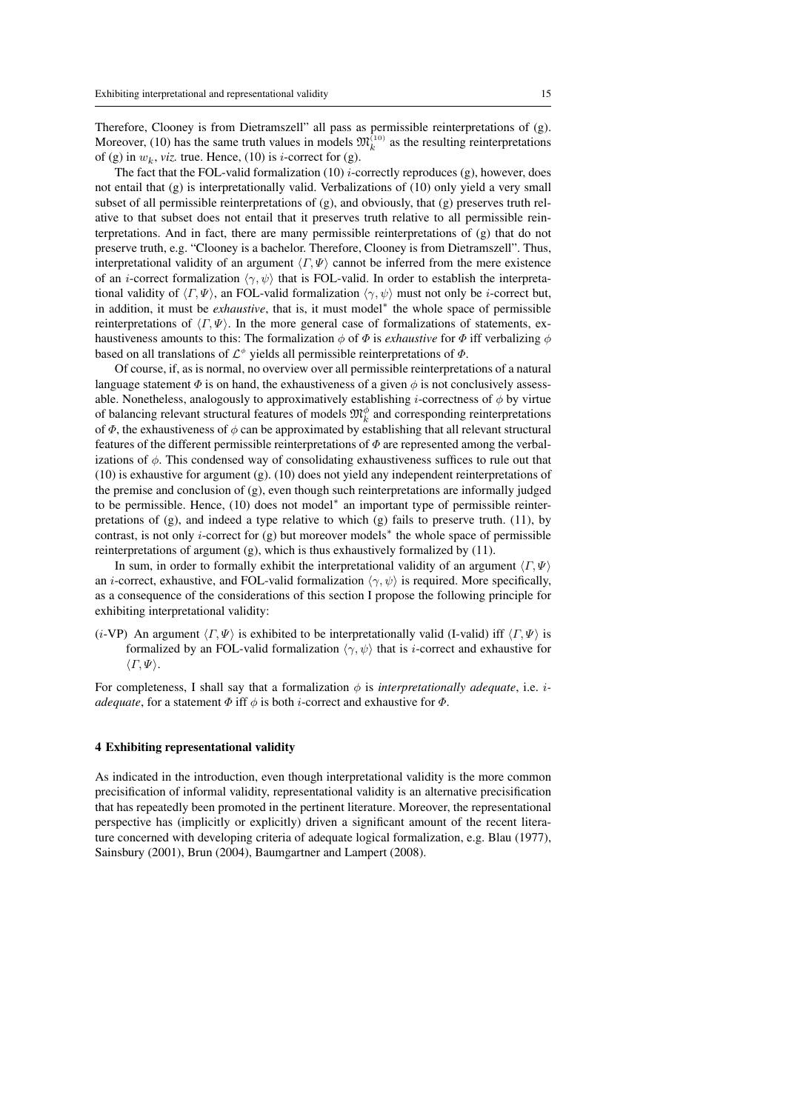Therefore, Clooney is from Dietramszell" all pass as permissible reinterpretations of (g). Moreover, (10) has the same truth values in models  $\mathfrak{M}_k^{(10)}$  as the resulting reinterpretations of (g) in  $w_k$ , *viz.* true. Hence, (10) is *i*-correct for (g).

The fact that the FOL-valid formalization  $(10)$  *i*-correctly reproduces  $(g)$ , however, does not entail that (g) is interpretationally valid. Verbalizations of (10) only yield a very small subset of all permissible reinterpretations of (g), and obviously, that (g) preserves truth relative to that subset does not entail that it preserves truth relative to all permissible reinterpretations. And in fact, there are many permissible reinterpretations of (g) that do not preserve truth, e.g. "Clooney is a bachelor. Therefore, Clooney is from Dietramszell". Thus, interpretational validity of an argument  $\langle \Gamma, \Psi \rangle$  cannot be inferred from the mere existence of an *i*-correct formalization  $\langle \gamma, \psi \rangle$  that is FOL-valid. In order to establish the interpretational validity of  $\langle \Gamma, \Psi \rangle$ , an FOL-valid formalization  $\langle \gamma, \psi \rangle$  must not only be *i*-correct but, in addition, it must be *exhaustive*, that is, it must model<sup>∗</sup> the whole space of permissible reinterpretations of  $\langle \Gamma, \Psi \rangle$ . In the more general case of formalizations of statements, exhaustiveness amounts to this: The formalization  $\phi$  of  $\Phi$  is *exhaustive* for  $\Phi$  iff verbalizing  $\phi$ based on all translations of  $\mathcal{L}^{\phi}$  yields all permissible reinterpretations of  $\Phi$ .

Of course, if, as is normal, no overview over all permissible reinterpretations of a natural language statement  $\Phi$  is on hand, the exhaustiveness of a given  $\phi$  is not conclusively assessable. Nonetheless, analogously to approximatively establishing *i*-correctness of  $\phi$  by virtue of balancing relevant structural features of models  $\mathfrak{M}_k^{\phi}$  and corresponding reinterpretations of  $\Phi$ , the exhaustiveness of  $\phi$  can be approximated by establishing that all relevant structural features of the different permissible reinterpretations of  $\Phi$  are represented among the verbalizations of  $\phi$ . This condensed way of consolidating exhaustiveness suffices to rule out that (10) is exhaustive for argument (g). (10) does not yield any independent reinterpretations of the premise and conclusion of (g), even though such reinterpretations are informally judged to be permissible. Hence, (10) does not model<sup>∗</sup> an important type of permissible reinterpretations of  $(g)$ , and indeed a type relative to which  $(g)$  fails to preserve truth. (11), by contrast, is not only i-correct for (g) but moreover models<sup>∗</sup> the whole space of permissible reinterpretations of argument (g), which is thus exhaustively formalized by (11).

In sum, in order to formally exhibit the interpretational validity of an argument  $\langle \Gamma, \Psi \rangle$ an *i*-correct, exhaustive, and FOL-valid formalization  $\langle \gamma, \psi \rangle$  is required. More specifically, as a consequence of the considerations of this section I propose the following principle for exhibiting interpretational validity:

(*i*-VP) An argument  $\langle \Gamma, \Psi \rangle$  is exhibited to be interpretationally valid (I-valid) iff  $\langle \Gamma, \Psi \rangle$  is formalized by an FOL-valid formalization  $\langle \gamma, \psi \rangle$  that is *i*-correct and exhaustive for  $\langle \Gamma, \Psi \rangle.$ 

For completeness, I shall say that a formalization  $\phi$  is *interpretationally adequate*, i.e. *iadequate*, for a statement  $\Phi$  iff  $\phi$  is both *i*-correct and exhaustive for  $\Phi$ .

#### 4 Exhibiting representational validity

As indicated in the introduction, even though interpretational validity is the more common precisification of informal validity, representational validity is an alternative precisification that has repeatedly been promoted in the pertinent literature. Moreover, the representational perspective has (implicitly or explicitly) driven a significant amount of the recent literature concerned with developing criteria of adequate logical formalization, e.g. Blau (1977), Sainsbury (2001), Brun (2004), Baumgartner and Lampert (2008).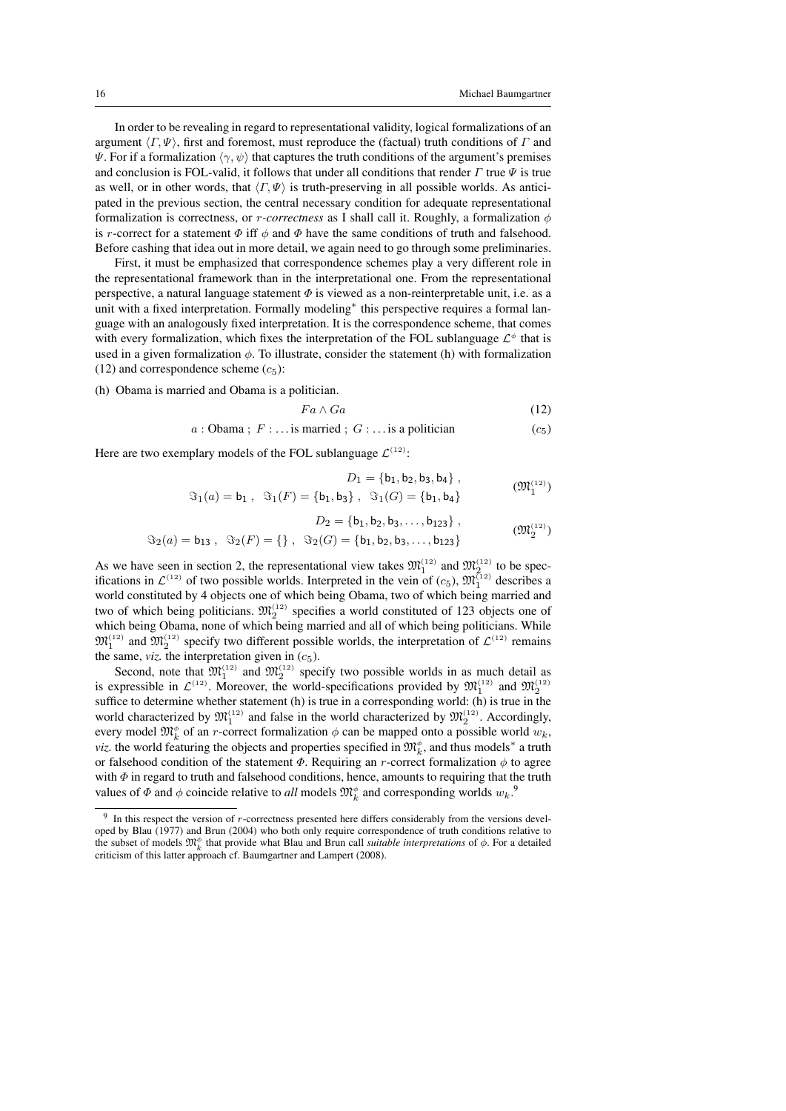In order to be revealing in regard to representational validity, logical formalizations of an argument  $\langle \Gamma, \Psi \rangle$ , first and foremost, must reproduce the (factual) truth conditions of Γ and Ψ. For if a formalization  $\langle \gamma, \psi \rangle$  that captures the truth conditions of the argument's premises and conclusion is FOL-valid, it follows that under all conditions that render  $\Gamma$  true  $\Psi$  is true as well, or in other words, that  $\langle \Gamma, \Psi \rangle$  is truth-preserving in all possible worlds. As anticipated in the previous section, the central necessary condition for adequate representational formalization is correctness, or *r-correctness* as I shall call it. Roughly, a formalization  $\phi$ is r-correct for a statement  $\Phi$  iff  $\phi$  and  $\Phi$  have the same conditions of truth and falsehood. Before cashing that idea out in more detail, we again need to go through some preliminaries.

First, it must be emphasized that correspondence schemes play a very different role in the representational framework than in the interpretational one. From the representational perspective, a natural language statement  $\Phi$  is viewed as a non-reinterpretable unit, i.e. as a unit with a fixed interpretation. Formally modeling<sup>\*</sup> this perspective requires a formal language with an analogously fixed interpretation. It is the correspondence scheme, that comes with every formalization, which fixes the interpretation of the FOL sublanguage  $\mathcal{L}^{\phi}$  that is used in a given formalization  $\phi$ . To illustrate, consider the statement (h) with formalization (12) and correspondence scheme  $(c_5)$ :

(h) Obama is married and Obama is a politician.

$$
Fa \wedge Ga \tag{12}
$$

 $a : \text{Obama}$ ;  $F : \dots$  is married;  $G : \dots$  is a politician (c<sub>5</sub>)

Here are two exemplary models of the FOL sublanguage  $\mathcal{L}^{(12)}$ :

$$
D_1 = \{b_1, b_2, b_3, b_4\},
$$
  

$$
\Im_1(a) = b_1, \ \Im_1(F) = \{b_1, b_3\}, \ \Im_1(G) = \{b_1, b_4\}
$$
 (M<sub>1</sub><sup>(12)</sup>)

$$
D_2 = \{b_1, b_2, b_3, \dots, b_{123}\},
$$
  

$$
\Im_2(a) = b_{13}, \quad \Im_2(F) = \{\}, \quad \Im_2(G) = \{b_1, b_2, b_3, \dots, b_{123}\}
$$
 (M<sub>2</sub><sup>(12)</sup>)

As we have seen in section 2, the representational view takes  $\mathfrak{M}^{(12)}_1$  and  $\mathfrak{M}^{(12)}_2$  to be specifications in  $\mathcal{L}^{(12)}$  of two possible worlds. Interpreted in the vein of  $(c_5)$ ,  $\mathfrak{M}^{(12)}_1$  describes a world constituted by 4 objects one of which being Obama, two of which being married and two of which being politicians.  $\mathfrak{M}_2^{(12)}$  specifies a world constituted of 123 objects one of which being Obama, none of which being married and all of which being politicians. While  $\mathfrak{M}_1^{(12)}$  and  $\mathfrak{M}_2^{(12)}$  specify two different possible worlds, the interpretation of  $\mathcal{L}^{(12)}$  remains the same, *viz*. the interpretation given in  $(c_5)$ .

Second, note that  $\mathfrak{M}_1^{(12)}$  and  $\mathfrak{M}_2^{(12)}$  specify two possible worlds in as much detail as is expressible in  $\mathcal{L}^{(12)}$ . Moreover, the world-specifications provided by  $\mathfrak{M}^{(12)}_1$  and  $\mathfrak{M}^{(12)}_2$ suffice to determine whether statement (h) is true in a corresponding world: (h) is true in the world characterized by  $\mathfrak{M}_1^{(12)}$  and false in the world characterized by  $\mathfrak{M}_2^{(12)}$ . Accordingly, every model  $\mathfrak{M}_k^{\phi}$  of an *r*-correct formalization  $\phi$  can be mapped onto a possible world  $w_k$ , *viz.* the world featuring the objects and properties specified in  $\mathfrak{M}_k^{\phi}$ , and thus models<sup>∗</sup> a truth or falsehood condition of the statement  $\Phi$ . Requiring an r-correct formalization  $\phi$  to agree with  $\Phi$  in regard to truth and falsehood conditions, hence, amounts to requiring that the truth values of  $\Phi$  and  $\phi$  coincide relative to *all* models  $\mathfrak{M}_k^{\phi}$  and corresponding worlds  $w_k$ .<sup>9</sup>

<sup>9</sup> In this respect the version of r-correctness presented here differs considerably from the versions developed by Blau (1977) and Brun (2004) who both only require correspondence of truth conditions relative to the subset of models  $\mathfrak{M}_k^{\phi}$  that provide what Blau and Brun call *suitable interpretations* of  $\phi$ . For a detailed criticism of this latter approach cf. Baumgartner and Lampert (2008).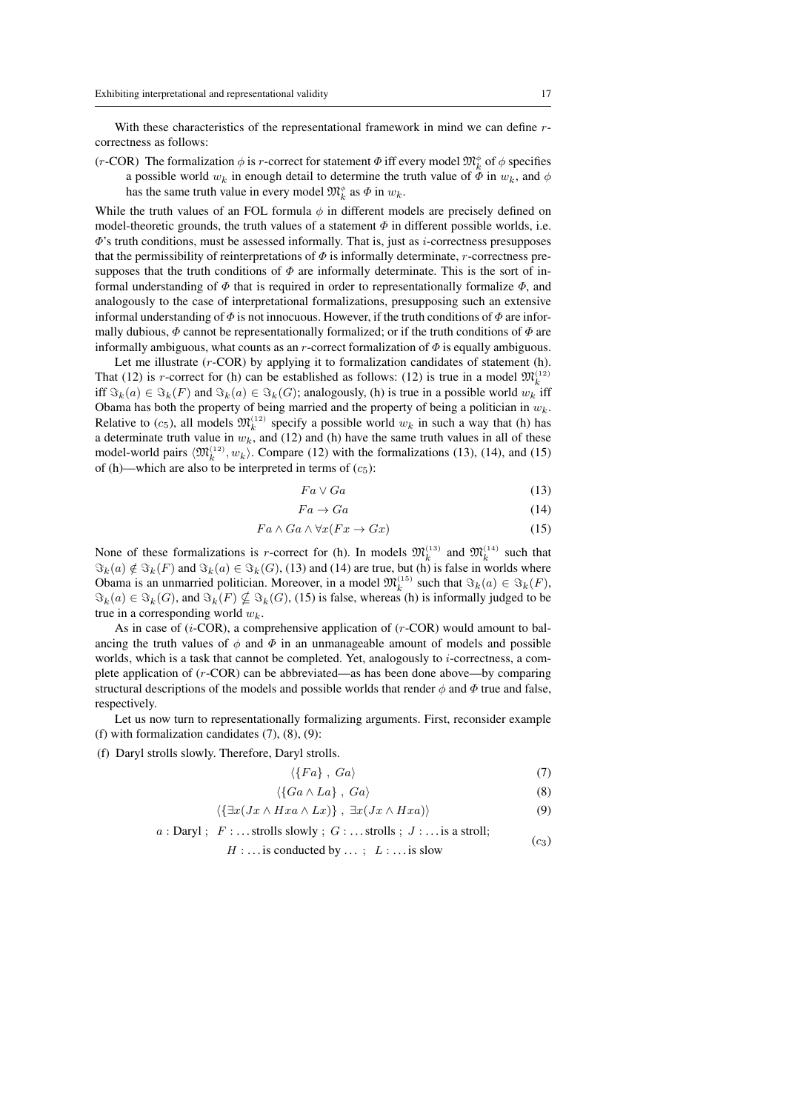With these characteristics of the representational framework in mind we can define rcorrectness as follows:

(*r*-COR) The formalization  $\phi$  is *r*-correct for statement  $\Phi$  iff every model  $\mathfrak{M}_k^{\phi}$  of  $\phi$  specifies a possible world  $w_k$  in enough detail to determine the truth value of  $\Phi$  in  $w_k$ , and  $\phi$ has the same truth value in every model  $\mathfrak{M}_k^{\phi}$  as  $\Phi$  in  $w_k$ .

While the truth values of an FOL formula  $\phi$  in different models are precisely defined on model-theoretic grounds, the truth values of a statement  $\Phi$  in different possible worlds, i.e.  $\Phi$ 's truth conditions, must be assessed informally. That is, just as *i*-correctness presupposes that the permissibility of reinterpretations of  $\Phi$  is informally determinate, r-correctness presupposes that the truth conditions of  $\Phi$  are informally determinate. This is the sort of informal understanding of  $\Phi$  that is required in order to representationally formalize  $\Phi$ , and analogously to the case of interpretational formalizations, presupposing such an extensive informal understanding of  $\Phi$  is not innocuous. However, if the truth conditions of  $\Phi$  are informally dubious,  $\Phi$  cannot be representationally formalized; or if the truth conditions of  $\Phi$  are informally ambiguous, what counts as an r-correct formalization of  $\Phi$  is equally ambiguous.

Let me illustrate (r-COR) by applying it to formalization candidates of statement (h). That (12) is *r*-correct for (h) can be established as follows: (12) is true in a model  $\mathfrak{M}_k^{(12)}$ iff  $\Im_k(a) \in \Im_k(F)$  and  $\Im_k(a) \in \Im_k(G)$ ; analogously, (h) is true in a possible world  $w_k$  iff Obama has both the property of being married and the property of being a politician in  $w_k$ . Relative to (c<sub>5</sub>), all models  $\mathfrak{M}_k^{(12)}$  specify a possible world  $w_k$  in such a way that (h) has a determinate truth value in  $w_k$ , and (12) and (h) have the same truth values in all of these model-world pairs  $\langle \mathfrak{M}_k^{(12)}, w_k \rangle$ . Compare (12) with the formalizations (13), (14), and (15) of (h)—which are also to be interpreted in terms of  $(c_5)$ :

$$
Fa\vee Ga\tag{13}
$$

$$
Fa \to Ga \tag{14}
$$

$$
Fa \wedge Ga \wedge \forall x (Fx \to Gx) \tag{15}
$$

None of these formalizations is *r*-correct for (h). In models  $\mathfrak{M}_k^{(13)}$  and  $\mathfrak{M}_k^{(14)}$  such that  $\Im_k(a) \notin \Im_k(F)$  and  $\Im_k(a) \in \Im_k(G)$ , (13) and (14) are true, but (h) is false in worlds where Obama is an unmarried politician. Moreover, in a model  $\mathfrak{M}_k^{(15)}$  such that  $\Im_k(a) \in \Im_k(F)$ ,  $\Im_k(a) \in \Im_k(G)$ , and  $\Im_k(F) \nsubseteq \Im_k(G)$ , (15) is false, whereas (h) is informally judged to be true in a corresponding world  $w_k$ .

As in case of  $(i$ -COR), a comprehensive application of  $(r$ -COR) would amount to balancing the truth values of  $\phi$  and  $\Phi$  in an unmanageable amount of models and possible worlds, which is a task that cannot be completed. Yet, analogously to  $i$ -correctness, a complete application of (r-COR) can be abbreviated—as has been done above—by comparing structural descriptions of the models and possible worlds that render  $\phi$  and  $\Phi$  true and false, respectively.

Let us now turn to representationally formalizing arguments. First, reconsider example (f) with formalization candidates (7), (8), (9):

(f) Daryl strolls slowly. Therefore, Daryl strolls.

$$
\langle \{Fa\}, Ga\rangle \tag{7}
$$

$$
\langle \{Ga \wedge La\}, Ga \rangle \tag{8}
$$

$$
\langle \{ \exists x (Jx \wedge Hxa \wedge Lx) \}, \ \exists x (Jx \wedge Hxa) \rangle \tag{9}
$$

$$
a: \text{Daryl}; \quad F: \dots \text{strolls slowly}; \quad G: \dots \text{strolls}; \quad J: \dots \text{is a stroll};
$$
 (c<sub>3</sub>)

$$
H:...
$$
 is conducted by ...;  $L:...$  is slow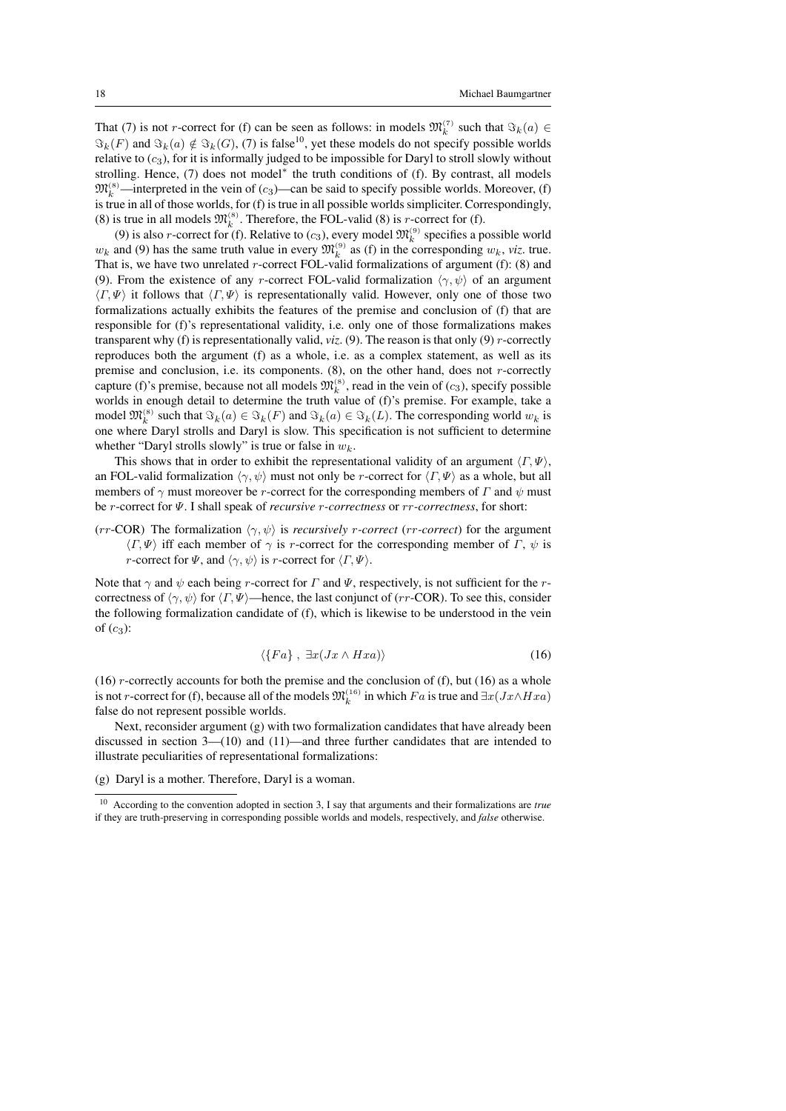That (7) is not *r*-correct for (f) can be seen as follows: in models  $\mathfrak{M}_k^{(7)}$  such that  $\Im_k(a) \in$  $\Im_k(F)$  and  $\Im_k(a) \notin \Im_k(G)$ , (7) is false<sup>10</sup>, yet these models do not specify possible worlds relative to  $(c_3)$ , for it is informally judged to be impossible for Daryl to stroll slowly without strolling. Hence, (7) does not model<sup>\*</sup> the truth conditions of (f). By contrast, all models  $\mathfrak{M}_k^{(8)}$  —interpreted in the vein of (c<sub>3</sub>)—can be said to specify possible worlds. Moreover, (f) is true in all of those worlds, for (f) is true in all possible worlds simpliciter. Correspondingly, (8) is true in all models  $\mathfrak{M}_k^{(8)}$ . Therefore, the FOL-valid (8) is *r*-correct for (f).

(9) is also *r*-correct for (f). Relative to (*c*<sub>3</sub>), every model  $\mathfrak{M}_k^{(9)}$  specifies a possible world  $w_k$  and (9) has the same truth value in every  $\mathfrak{M}_k^{(9)}$  as (f) in the corresponding  $w_k$ , *viz*. true. That is, we have two unrelated  $r$ -correct FOL-valid formalizations of argument (f): (8) and (9). From the existence of any r-correct FOL-valid formalization  $\langle \gamma, \psi \rangle$  of an argument  $\langle \Gamma, \Psi \rangle$  it follows that  $\langle \Gamma, \Psi \rangle$  is representationally valid. However, only one of those two formalizations actually exhibits the features of the premise and conclusion of (f) that are responsible for (f)'s representational validity, i.e. only one of those formalizations makes transparent why (f) is representationally valid,  $viz$ . (9). The reason is that only (9) *r*-correctly reproduces both the argument (f) as a whole, i.e. as a complex statement, as well as its premise and conclusion, i.e. its components.  $(8)$ , on the other hand, does not r-correctly capture (f)'s premise, because not all models  $\mathfrak{M}_k^{(8)}$ , read in the vein of  $(c_3)$ , specify possible worlds in enough detail to determine the truth value of (f)'s premise. For example, take a model  $\mathfrak{M}_k^{(8)}$  such that  $\Im_k(a) \in \Im_k(F)$  and  $\Im_k(a) \in \Im_k(L)$ . The corresponding world  $w_k$  is one where Daryl strolls and Daryl is slow. This specification is not sufficient to determine whether "Daryl strolls slowly" is true or false in  $w_k$ .

This shows that in order to exhibit the representational validity of an argument  $\langle \Gamma, \Psi \rangle$ , an FOL-valid formalization  $\langle \gamma, \psi \rangle$  must not only be r-correct for  $\langle \Gamma, \Psi \rangle$  as a whole, but all members of  $\gamma$  must moreover be r-correct for the corresponding members of  $\Gamma$  and  $\psi$  must be r-correct for Ψ. I shall speak of *recursive* r*-correctness* or rr*-correctness*, for short:

(rr-COR) The formalization  $\langle \gamma, \psi \rangle$  is *recursively* r-correct (rr-correct) for the argument  $\langle \Gamma, \Psi \rangle$  iff each member of  $\gamma$  is r-correct for the corresponding member of  $\Gamma$ ,  $\psi$  is *r*-correct for  $\Psi$ , and  $\langle \gamma, \psi \rangle$  is *r*-correct for  $\langle \Gamma, \Psi \rangle$ .

Note that  $\gamma$  and  $\psi$  each being r-correct for  $\Gamma$  and  $\Psi$ , respectively, is not sufficient for the rcorrectness of  $\langle \gamma, \psi \rangle$  for  $\langle \Gamma, \Psi \rangle$ —hence, the last conjunct of (rr-COR). To see this, consider the following formalization candidate of (f), which is likewise to be understood in the vein of  $(c_3)$ :

$$
\langle \{Fa\}, \ \exists x (Jx \wedge Hxa) \rangle \tag{16}
$$

(16)  $r$ -correctly accounts for both the premise and the conclusion of (f), but (16) as a whole is not *r*-correct for (f), because all of the models  $\mathfrak{M}_k^{(16)}$  in which Fa is true and  $\exists x(Jx \wedge Hxa)$ false do not represent possible worlds.

Next, reconsider argument (g) with two formalization candidates that have already been discussed in section 3—(10) and (11)—and three further candidates that are intended to illustrate peculiarities of representational formalizations:

(g) Daryl is a mother. Therefore, Daryl is a woman.

<sup>10</sup> According to the convention adopted in section 3, I say that arguments and their formalizations are *true* if they are truth-preserving in corresponding possible worlds and models, respectively, and *false* otherwise.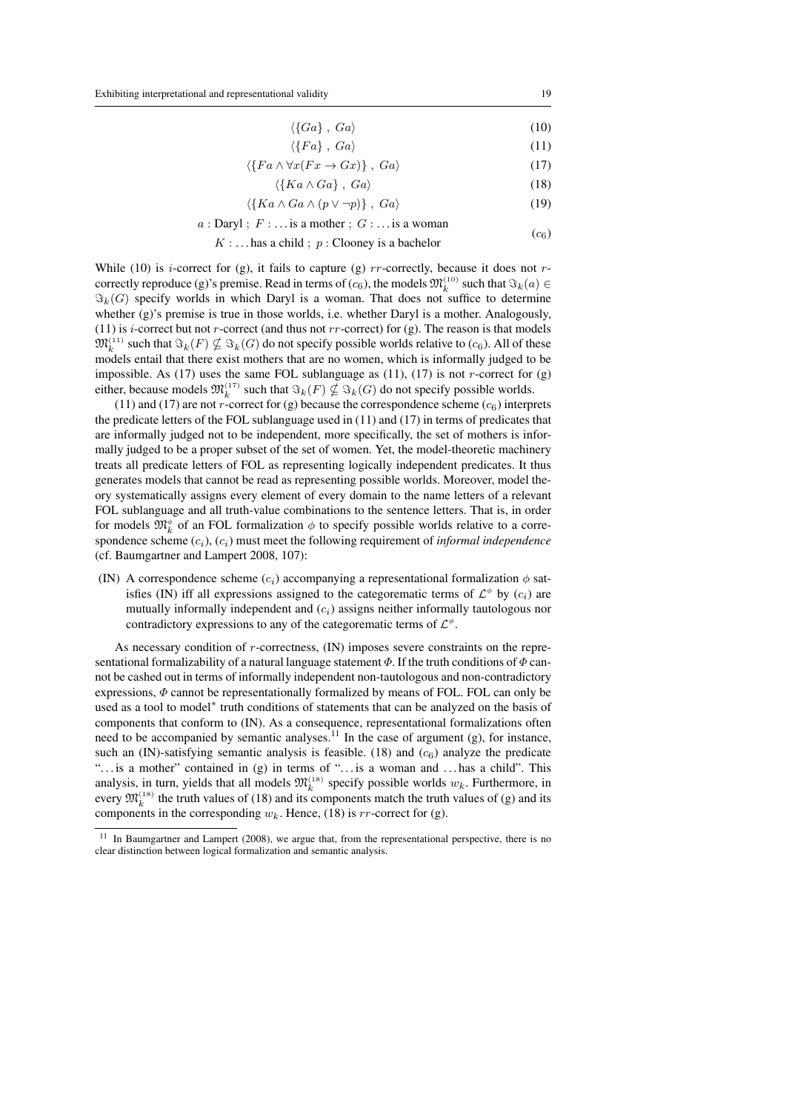$$
\langle \{Ga\} , Ga \rangle \tag{10}
$$

$$
\langle \{Fa\}, Ga\rangle \tag{11}
$$

$$
\langle \{Fa \wedge \forall x(Fx \to Gx)\}, Ga \rangle \tag{17}
$$

$$
\langle \{Ka \wedge Ga\}, Ga\rangle \tag{18}
$$

$$
\langle \{Ka \wedge Ga \wedge (p \vee \neg p)\}, Ga \rangle \tag{19}
$$

$$
a: \text{Dayl}; \ F: \ldots \text{is a mother}; \ G: \ldots \text{is a woman}
$$
 (c<sub>6</sub>)

$$
K
$$
 : ... has a child ;  $p$  : Clooney is a bachelor

While (10) is *i*-correct for (g), it fails to capture (g)  $rr$ -correctly, because it does not  $r$ correctly reproduce (g)'s premise. Read in terms of  $(c_6)$ , the models  $\mathfrak{M}_k^{(10)}$  such that  $\Im_k(a) \in$  $\Im_k(G)$  specify worlds in which Daryl is a woman. That does not suffice to determine whether (g)'s premise is true in those worlds, i.e. whether Daryl is a mother. Analogously, (11) is *i*-correct but not *r*-correct (and thus not *rr*-correct) for (g). The reason is that models  $\mathfrak{M}^{(11)}_k$  such that  $\Im_k(F) \nsubseteq \Im_k(G)$  do not specify possible worlds relative to (c<sub>6</sub>). All of these models entail that there exist mothers that are no women, which is informally judged to be impossible. As  $(17)$  uses the same FOL sublanguage as  $(11)$ ,  $(17)$  is not *r*-correct for  $(g)$ either, because models  $\mathfrak{M}_k^{(17)}$  such that  $\Im_k(F) \nsubseteq \Im_k(G)$  do not specify possible worlds.

(11) and (17) are not *r*-correct for (g) because the correspondence scheme  $(c_6)$  interprets the predicate letters of the FOL sublanguage used in (11) and (17) in terms of predicates that are informally judged not to be independent, more specifically, the set of mothers is informally judged to be a proper subset of the set of women. Yet, the model-theoretic machinery treats all predicate letters of FOL as representing logically independent predicates. It thus generates models that cannot be read as representing possible worlds. Moreover, model theory systematically assigns every element of every domain to the name letters of a relevant FOL sublanguage and all truth-value combinations to the sentence letters. That is, in order for models  $\mathfrak{M}_k^{\phi}$  of an FOL formalization  $\phi$  to specify possible worlds relative to a correspondence scheme  $(c_i)$ ,  $(c_i)$  must meet the following requirement of *informal independence* (cf. Baumgartner and Lampert 2008, 107):

(IN) A correspondence scheme ( $c_i$ ) accompanying a representational formalization  $\phi$  satisfies (IN) iff all expressions assigned to the categorematic terms of  $\mathcal{L}^{\phi}$  by  $(c_i)$  are mutually informally independent and  $(c_i)$  assigns neither informally tautologous nor contradictory expressions to any of the categorematic terms of  $\mathcal{L}^{\phi}$ .

As necessary condition of r-correctness, (IN) imposes severe constraints on the representational formalizability of a natural language statement  $\Phi$ . If the truth conditions of  $\Phi$  cannot be cashed out in terms of informally independent non-tautologous and non-contradictory expressions,  $\Phi$  cannot be representationally formalized by means of FOL. FOL can only be used as a tool to model<sup>\*</sup> truth conditions of statements that can be analyzed on the basis of components that conform to (IN). As a consequence, representational formalizations often need to be accompanied by semantic analyses.<sup>11</sup> In the case of argument (g), for instance, such an (IN)-satisfying semantic analysis is feasible. (18) and  $(c<sub>6</sub>)$  analyze the predicate "... is a mother" contained in (g) in terms of "... is a woman and ... has a child". This analysis, in turn, yields that all models  $\mathfrak{M}_k^{(18)}$  specify possible worlds  $w_k$ . Furthermore, in every  $\mathfrak{M}_k^{(18)}$  the truth values of (18) and its components match the truth values of (g) and its components in the corresponding  $w_k$ . Hence, (18) is rr-correct for (g).

<sup>&</sup>lt;sup>11</sup> In Baumgartner and Lampert (2008), we argue that, from the representational perspective, there is no clear distinction between logical formalization and semantic analysis.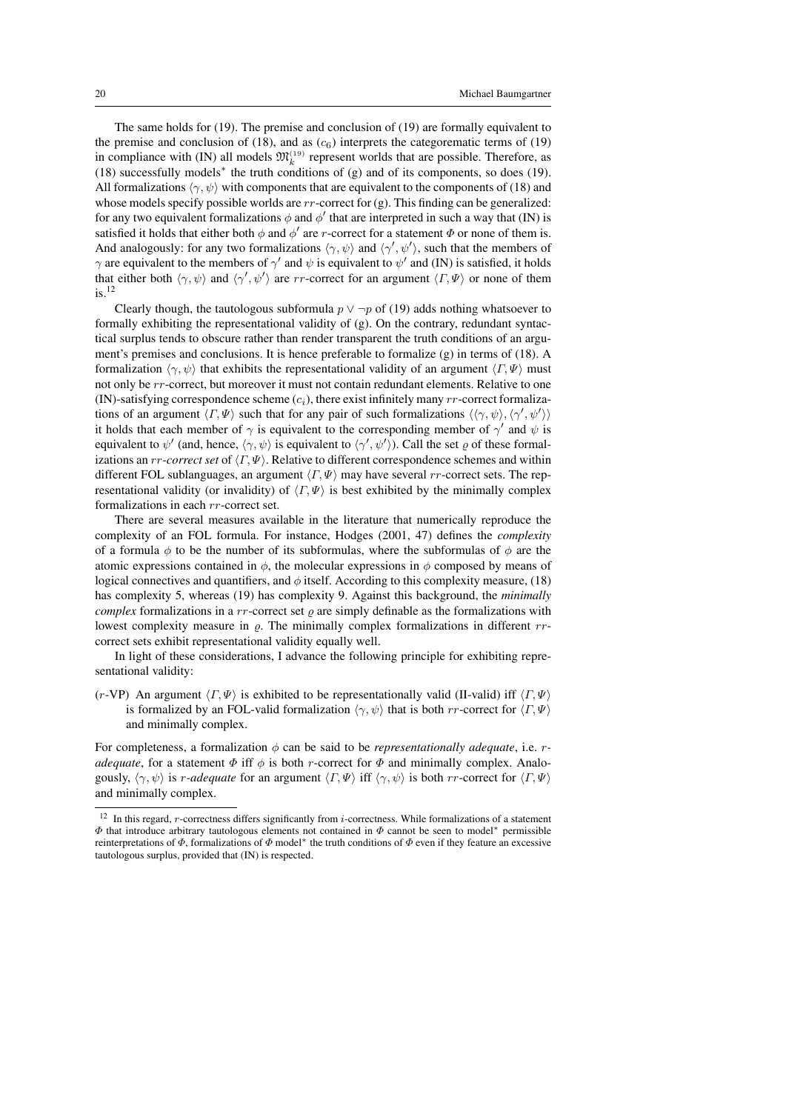The same holds for (19). The premise and conclusion of (19) are formally equivalent to the premise and conclusion of (18), and as  $(c<sub>6</sub>)$  interprets the categorematic terms of (19) in compliance with (IN) all models  $\mathfrak{M}_k^{(19)}$  represent worlds that are possible. Therefore, as (18) successfully models<sup>∗</sup> the truth conditions of (g) and of its components, so does (19). All formalizations  $\langle \gamma, \psi \rangle$  with components that are equivalent to the components of (18) and whose models specify possible worlds are  $rr$ -correct for (g). This finding can be generalized: for any two equivalent formalizations  $\phi$  and  $\phi'$  that are interpreted in such a way that (IN) is satisfied it holds that either both  $\phi$  and  $\phi'$  are *r*-correct for a statement  $\Phi$  or none of them is. And analogously: for any two formalizations  $\langle \gamma, \psi \rangle$  and  $\langle \gamma', \psi' \rangle$ , such that the members of  $\gamma$  are equivalent to the members of  $\gamma'$  and  $\psi$  is equivalent to  $\psi'$  and (IN) is satisfied, it holds that either both  $\langle \gamma, \psi \rangle$  and  $\langle \gamma', \psi' \rangle$  are rr-correct for an argument  $\langle \Gamma, \Psi \rangle$  or none of them  $i$ s.  $12$ 

Clearly though, the tautologous subformula  $p \lor \neg p$  of (19) adds nothing whatsoever to formally exhibiting the representational validity of (g). On the contrary, redundant syntactical surplus tends to obscure rather than render transparent the truth conditions of an argument's premises and conclusions. It is hence preferable to formalize (g) in terms of (18). A formalization  $\langle \gamma, \psi \rangle$  that exhibits the representational validity of an argument  $\langle \Gamma, \Psi \rangle$  must not only be rr-correct, but moreover it must not contain redundant elements. Relative to one (IN)-satisfying correspondence scheme  $(c_i)$ , there exist infinitely many  $rr$ -correct formalizations of an argument  $\langle \Gamma, \Psi \rangle$  such that for any pair of such formalizations  $\langle \langle \gamma, \psi \rangle, \langle \gamma', \psi' \rangle \rangle$ it holds that each member of  $\gamma$  is equivalent to the corresponding member of  $\gamma'$  and  $\psi$  is equivalent to  $\psi'$  (and, hence,  $\langle \gamma, \psi \rangle$  is equivalent to  $\langle \gamma', \psi' \rangle$ ). Call the set  $\varrho$  of these formalizations an  $rr$ *-correct set* of  $\langle \Gamma, \Psi \rangle$ . Relative to different correspondence schemes and within different FOL sublanguages, an argument  $\langle \Gamma, \Psi \rangle$  may have several rr-correct sets. The representational validity (or invalidity) of  $\langle \Gamma, \Psi \rangle$  is best exhibited by the minimally complex formalizations in each rr-correct set.

There are several measures available in the literature that numerically reproduce the complexity of an FOL formula. For instance, Hodges (2001, 47) defines the *complexity* of a formula  $\phi$  to be the number of its subformulas, where the subformulas of  $\phi$  are the atomic expressions contained in  $\phi$ , the molecular expressions in  $\phi$  composed by means of logical connectives and quantifiers, and  $\phi$  itself. According to this complexity measure, (18) has complexity 5, whereas (19) has complexity 9. Against this background, the *minimally complex* formalizations in a *rr*-correct set  $\rho$  are simply definable as the formalizations with lowest complexity measure in  $\rho$ . The minimally complex formalizations in different rrcorrect sets exhibit representational validity equally well.

In light of these considerations, I advance the following principle for exhibiting representational validity:

(r-VP) An argument  $\langle \Gamma, \Psi \rangle$  is exhibited to be representationally valid (II-valid) iff  $\langle \Gamma, \Psi \rangle$ is formalized by an FOL-valid formalization  $\langle \gamma, \psi \rangle$  that is both rr-correct for  $\langle \Gamma, \Psi \rangle$ and minimally complex.

For completeness, a formalization φ can be said to be *representationally adequate*, i.e. r*adequate*, for a statement  $\Phi$  iff  $\phi$  is both *r*-correct for  $\Phi$  and minimally complex. Analogously,  $\langle \gamma, \psi \rangle$  is *r-adequate* for an argument  $\langle \Gamma, \Psi \rangle$  iff  $\langle \gamma, \psi \rangle$  is both *rr*-correct for  $\langle \Gamma, \Psi \rangle$ and minimally complex.

 $12$  In this regard, *r*-correctness differs significantly from *i*-correctness. While formalizations of a statement  $\Phi$  that introduce arbitrary tautologous elements not contained in  $\Phi$  cannot be seen to model\* permissible reinterpretations of  $\Phi$ , formalizations of  $\Phi$  model\* the truth conditions of  $\Phi$  even if they feature an excessive tautologous surplus, provided that (IN) is respected.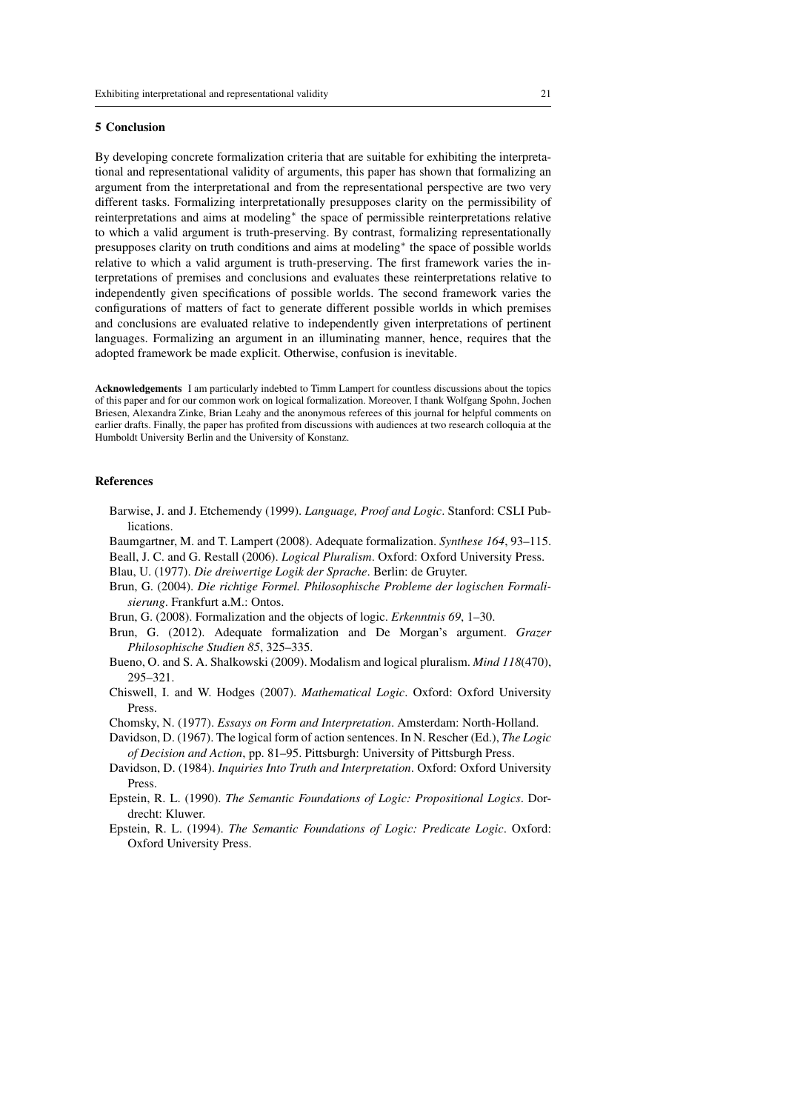## 5 Conclusion

By developing concrete formalization criteria that are suitable for exhibiting the interpretational and representational validity of arguments, this paper has shown that formalizing an argument from the interpretational and from the representational perspective are two very different tasks. Formalizing interpretationally presupposes clarity on the permissibility of reinterpretations and aims at modeling<sup>∗</sup> the space of permissible reinterpretations relative to which a valid argument is truth-preserving. By contrast, formalizing representationally presupposes clarity on truth conditions and aims at modeling<sup>∗</sup> the space of possible worlds relative to which a valid argument is truth-preserving. The first framework varies the interpretations of premises and conclusions and evaluates these reinterpretations relative to independently given specifications of possible worlds. The second framework varies the configurations of matters of fact to generate different possible worlds in which premises and conclusions are evaluated relative to independently given interpretations of pertinent languages. Formalizing an argument in an illuminating manner, hence, requires that the adopted framework be made explicit. Otherwise, confusion is inevitable.

Acknowledgements I am particularly indebted to Timm Lampert for countless discussions about the topics of this paper and for our common work on logical formalization. Moreover, I thank Wolfgang Spohn, Jochen Briesen, Alexandra Zinke, Brian Leahy and the anonymous referees of this journal for helpful comments on earlier drafts. Finally, the paper has profited from discussions with audiences at two research colloquia at the Humboldt University Berlin and the University of Konstanz.

## **References**

- Barwise, J. and J. Etchemendy (1999). *Language, Proof and Logic*. Stanford: CSLI Publications.
- Baumgartner, M. and T. Lampert (2008). Adequate formalization. *Synthese 164*, 93–115.
- Beall, J. C. and G. Restall (2006). *Logical Pluralism*. Oxford: Oxford University Press.
- Blau, U. (1977). *Die dreiwertige Logik der Sprache*. Berlin: de Gruyter.
- Brun, G. (2004). *Die richtige Formel. Philosophische Probleme der logischen Formalisierung*. Frankfurt a.M.: Ontos.
- Brun, G. (2008). Formalization and the objects of logic. *Erkenntnis 69*, 1–30.
- Brun, G. (2012). Adequate formalization and De Morgan's argument. *Grazer Philosophische Studien 85*, 325–335.
- Bueno, O. and S. A. Shalkowski (2009). Modalism and logical pluralism. *Mind 118*(470), 295–321.
- Chiswell, I. and W. Hodges (2007). *Mathematical Logic*. Oxford: Oxford University Press.
- Chomsky, N. (1977). *Essays on Form and Interpretation*. Amsterdam: North-Holland.
- Davidson, D. (1967). The logical form of action sentences. In N. Rescher (Ed.), *The Logic of Decision and Action*, pp. 81–95. Pittsburgh: University of Pittsburgh Press.
- Davidson, D. (1984). *Inquiries Into Truth and Interpretation*. Oxford: Oxford University Press.
- Epstein, R. L. (1990). *The Semantic Foundations of Logic: Propositional Logics*. Dordrecht: Kluwer.
- Epstein, R. L. (1994). *The Semantic Foundations of Logic: Predicate Logic*. Oxford: Oxford University Press.